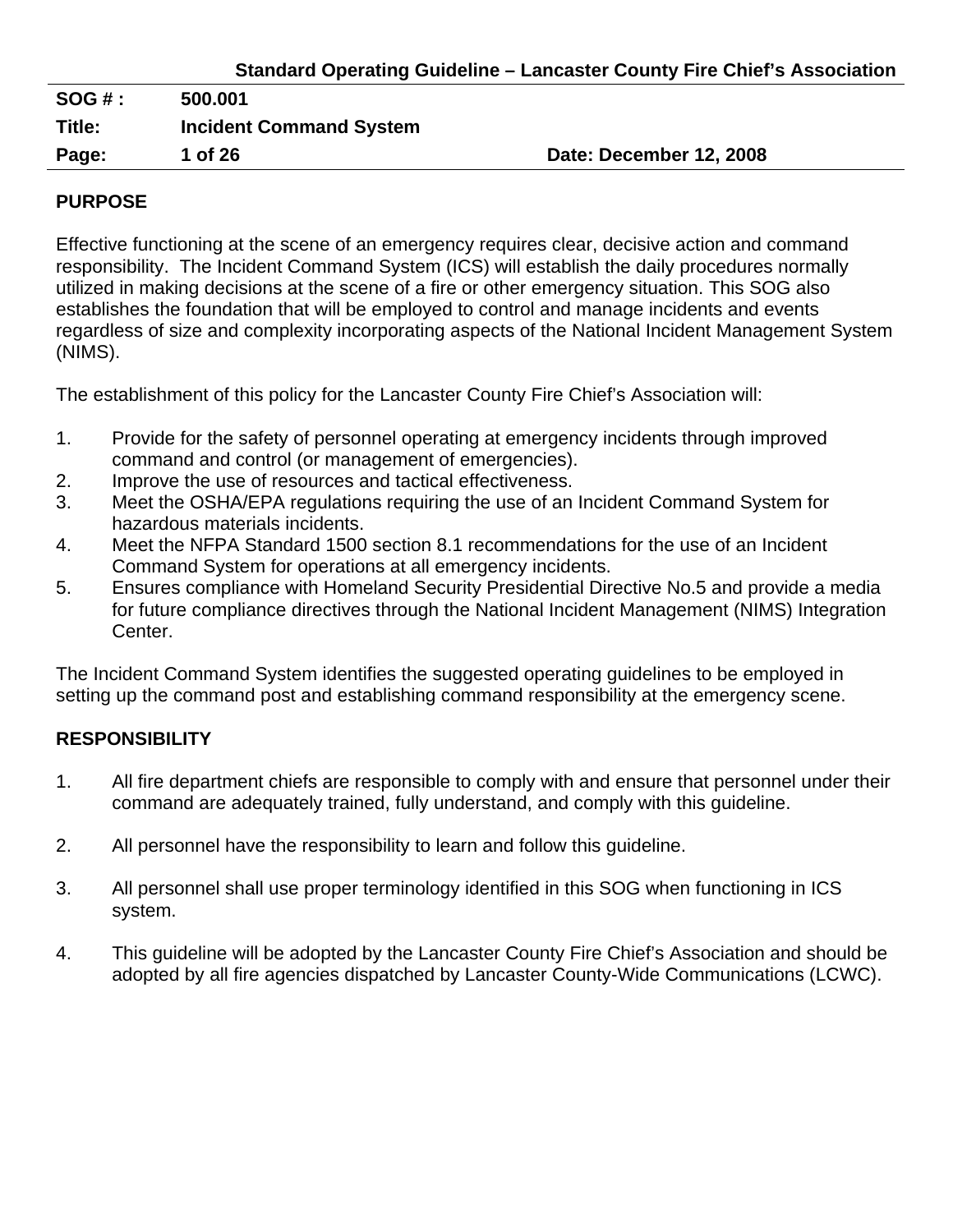|  | <b>Standard Operating Guideline - Lancaster County Fire Chief's Association</b> |  |
|--|---------------------------------------------------------------------------------|--|
|  |                                                                                 |  |

| SOG#:  | 500.001                        |                         |
|--------|--------------------------------|-------------------------|
| Title: | <b>Incident Command System</b> |                         |
| Page:  | 1 of 26                        | Date: December 12, 2008 |
|        |                                |                         |

## **PURPOSE**

Effective functioning at the scene of an emergency requires clear, decisive action and command responsibility. The Incident Command System (ICS) will establish the daily procedures normally utilized in making decisions at the scene of a fire or other emergency situation. This SOG also establishes the foundation that will be employed to control and manage incidents and events regardless of size and complexity incorporating aspects of the National Incident Management System (NIMS).

The establishment of this policy for the Lancaster County Fire Chief's Association will:

- 1. Provide for the safety of personnel operating at emergency incidents through improved command and control (or management of emergencies).
- 2. Improve the use of resources and tactical effectiveness.
- 3. Meet the OSHA/EPA regulations requiring the use of an Incident Command System for hazardous materials incidents.
- 4. Meet the NFPA Standard 1500 section 8.1 recommendations for the use of an Incident Command System for operations at all emergency incidents.
- 5. Ensures compliance with Homeland Security Presidential Directive No.5 and provide a media for future compliance directives through the National Incident Management (NIMS) Integration Center.

The Incident Command System identifies the suggested operating guidelines to be employed in setting up the command post and establishing command responsibility at the emergency scene.

# **RESPONSIBILITY**

- 1. All fire department chiefs are responsible to comply with and ensure that personnel under their command are adequately trained, fully understand, and comply with this guideline.
- 2. All personnel have the responsibility to learn and follow this guideline.
- 3. All personnel shall use proper terminology identified in this SOG when functioning in ICS system.
- 4. This guideline will be adopted by the Lancaster County Fire Chief's Association and should be adopted by all fire agencies dispatched by Lancaster County-Wide Communications (LCWC).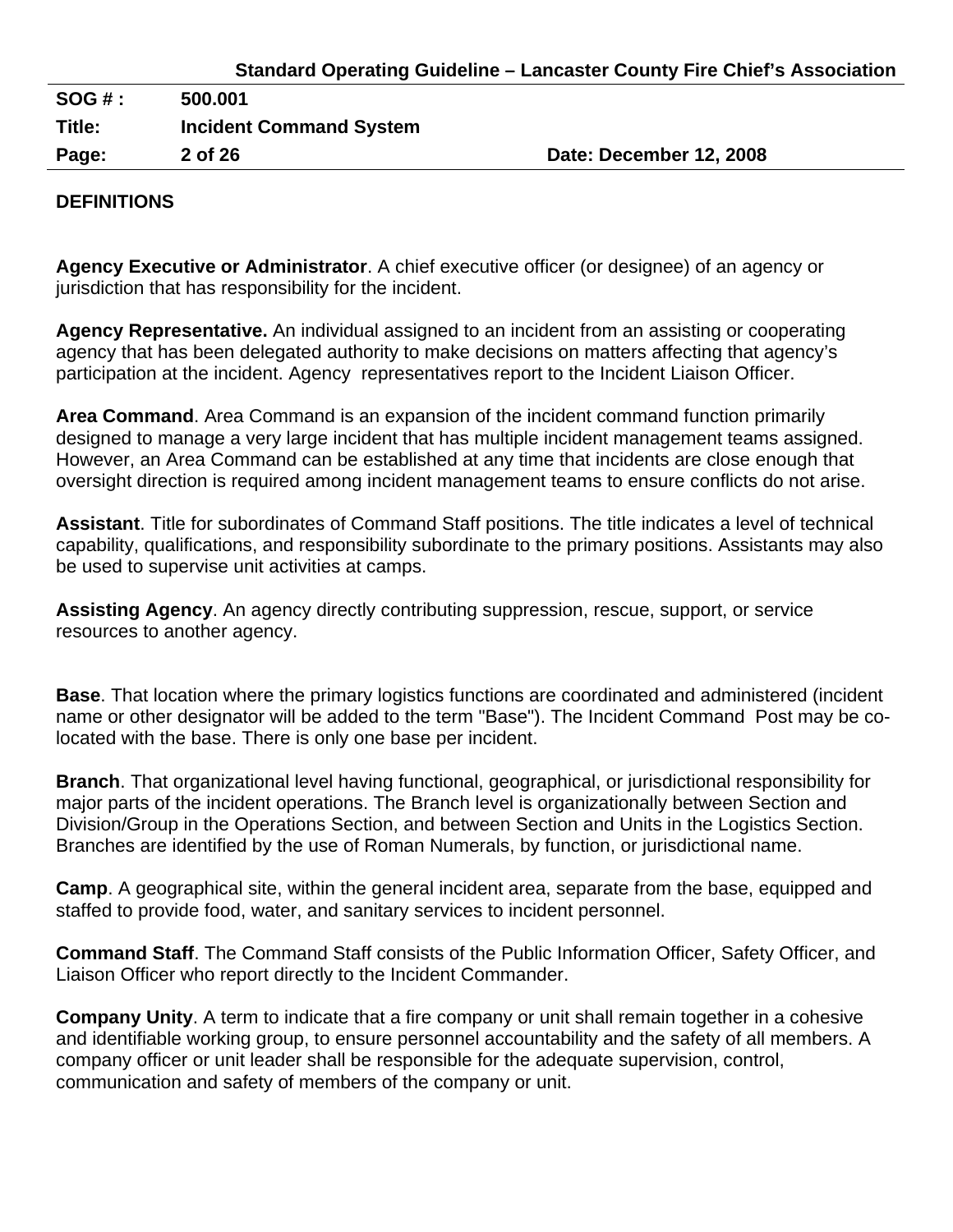| Page:    | 2 of 26                        | Date: December 12, 2008 |
|----------|--------------------------------|-------------------------|
| Title:   | <b>Incident Command System</b> |                         |
| $SOG#$ : | 500.001                        |                         |
|          |                                |                         |

#### **DEFINITIONS**

**Agency Executive or Administrator**. A chief executive officer (or designee) of an agency or jurisdiction that has responsibility for the incident.

**Agency Representative.** An individual assigned to an incident from an assisting or cooperating agency that has been delegated authority to make decisions on matters affecting that agency's participation at the incident. Agency representatives report to the Incident Liaison Officer.

**Area Command**. Area Command is an expansion of the incident command function primarily designed to manage a very large incident that has multiple incident management teams assigned. However, an Area Command can be established at any time that incidents are close enough that oversight direction is required among incident management teams to ensure conflicts do not arise.

**Assistant**. Title for subordinates of Command Staff positions. The title indicates a level of technical capability, qualifications, and responsibility subordinate to the primary positions. Assistants may also be used to supervise unit activities at camps.

**Assisting Agency**. An agency directly contributing suppression, rescue, support, or service resources to another agency.

**Base**. That location where the primary logistics functions are coordinated and administered (incident name or other designator will be added to the term "Base"). The Incident Command Post may be colocated with the base. There is only one base per incident.

**Branch**. That organizational level having functional, geographical, or jurisdictional responsibility for major parts of the incident operations. The Branch level is organizationally between Section and Division/Group in the Operations Section, and between Section and Units in the Logistics Section. Branches are identified by the use of Roman Numerals, by function, or jurisdictional name.

**Camp**. A geographical site, within the general incident area, separate from the base, equipped and staffed to provide food, water, and sanitary services to incident personnel.

**Command Staff**. The Command Staff consists of the Public Information Officer, Safety Officer, and Liaison Officer who report directly to the Incident Commander.

**Company Unity**. A term to indicate that a fire company or unit shall remain together in a cohesive and identifiable working group, to ensure personnel accountability and the safety of all members. A company officer or unit leader shall be responsible for the adequate supervision, control, communication and safety of members of the company or unit.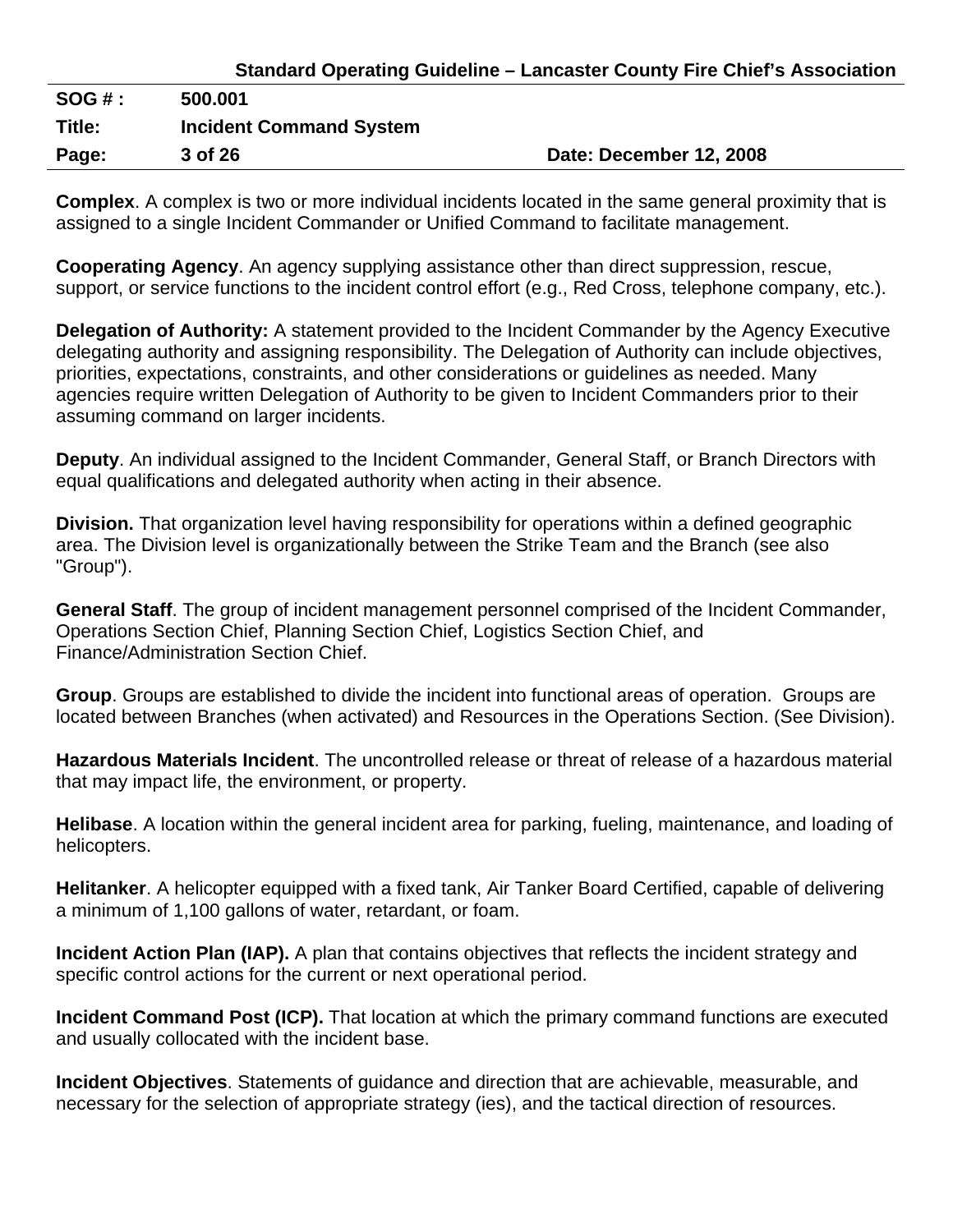|              | <b>Standard Operating Guideline – Lancaster County Fire Chief's Association</b> |
|--------------|---------------------------------------------------------------------------------|
| <b>SOG#:</b> | 500,001                                                                         |
| Title:       | <b>Incident Command System</b>                                                  |

Page: 3 of 26 **Date: December 12, 2008** 

**Complex**. A complex is two or more individual incidents located in the same general proximity that is assigned to a single Incident Commander or Unified Command to facilitate management.

**Cooperating Agency**. An agency supplying assistance other than direct suppression, rescue, support, or service functions to the incident control effort (e.g., Red Cross, telephone company, etc.).

**Delegation of Authority:** A statement provided to the Incident Commander by the Agency Executive delegating authority and assigning responsibility. The Delegation of Authority can include objectives, priorities, expectations, constraints, and other considerations or guidelines as needed. Many agencies require written Delegation of Authority to be given to Incident Commanders prior to their assuming command on larger incidents.

**Deputy**. An individual assigned to the Incident Commander, General Staff, or Branch Directors with equal qualifications and delegated authority when acting in their absence.

**Division.** That organization level having responsibility for operations within a defined geographic area. The Division level is organizationally between the Strike Team and the Branch (see also "Group").

**General Staff**. The group of incident management personnel comprised of the Incident Commander, Operations Section Chief, Planning Section Chief, Logistics Section Chief, and Finance/Administration Section Chief.

**Group**. Groups are established to divide the incident into functional areas of operation. Groups are located between Branches (when activated) and Resources in the Operations Section. (See Division).

**Hazardous Materials Incident**. The uncontrolled release or threat of release of a hazardous material that may impact life, the environment, or property.

**Helibase**. A location within the general incident area for parking, fueling, maintenance, and loading of helicopters.

**Helitanker**. A helicopter equipped with a fixed tank, Air Tanker Board Certified, capable of delivering a minimum of 1,100 gallons of water, retardant, or foam.

**Incident Action Plan (IAP).** A plan that contains objectives that reflects the incident strategy and specific control actions for the current or next operational period.

**Incident Command Post (ICP).** That location at which the primary command functions are executed and usually collocated with the incident base.

**Incident Objectives**. Statements of guidance and direction that are achievable, measurable, and necessary for the selection of appropriate strategy (ies), and the tactical direction of resources.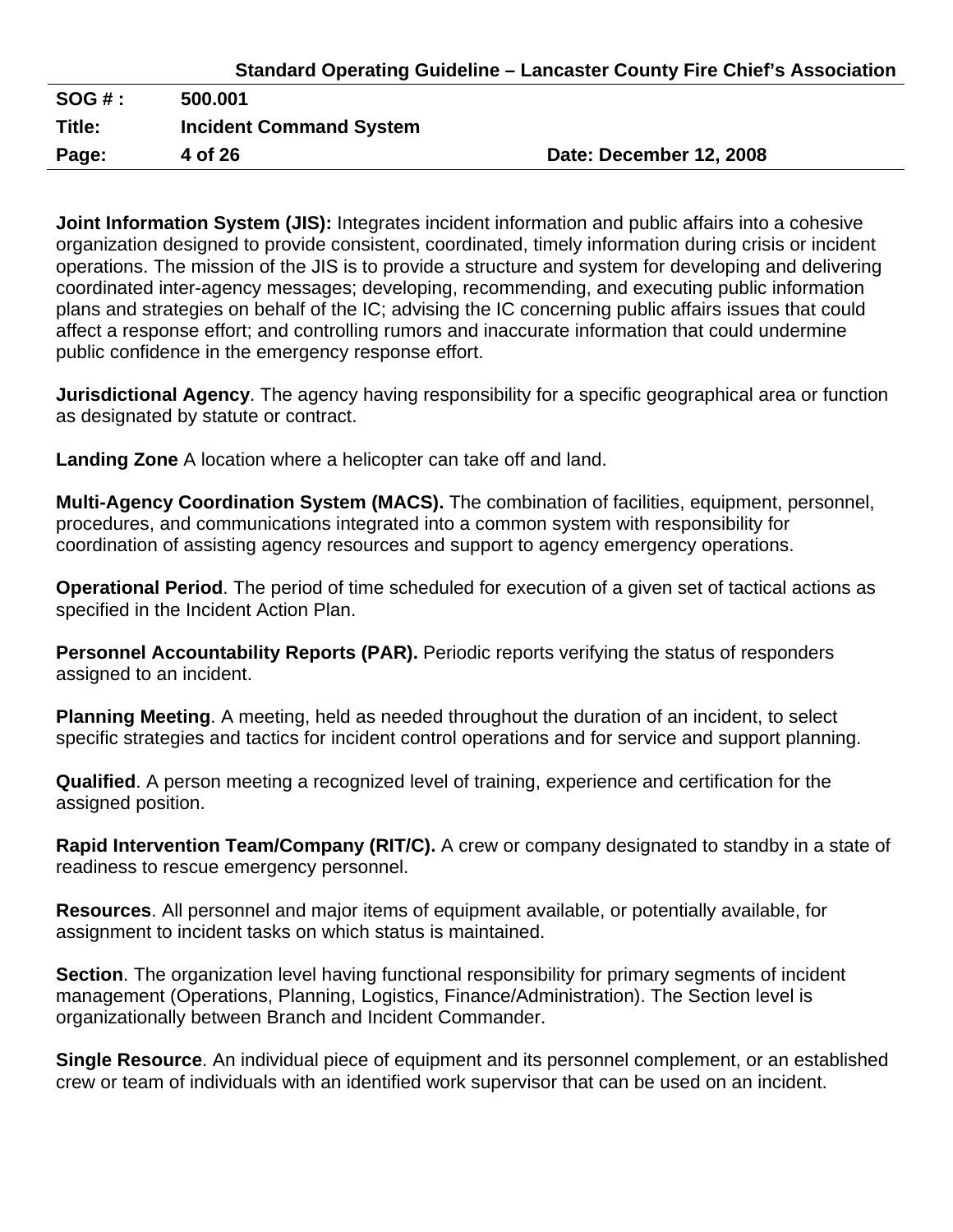| <b>Standard Operating Guideline - Lancaster County Fire Chief's Association</b> |  |  |
|---------------------------------------------------------------------------------|--|--|
|---------------------------------------------------------------------------------|--|--|

| $SOG#$ : | 500.001                        |                         |
|----------|--------------------------------|-------------------------|
| Title:   | <b>Incident Command System</b> |                         |
| Page:    | 4 of 26                        | Date: December 12, 2008 |

**Joint Information System (JIS):** Integrates incident information and public affairs into a cohesive organization designed to provide consistent, coordinated, timely information during crisis or incident operations. The mission of the JIS is to provide a structure and system for developing and delivering coordinated inter-agency messages; developing, recommending, and executing public information plans and strategies on behalf of the IC; advising the IC concerning public affairs issues that could affect a response effort; and controlling rumors and inaccurate information that could undermine public confidence in the emergency response effort.

**Jurisdictional Agency**. The agency having responsibility for a specific geographical area or function as designated by statute or contract.

**Landing Zone** A location where a helicopter can take off and land.

**Multi-Agency Coordination System (MACS).** The combination of facilities, equipment, personnel, procedures, and communications integrated into a common system with responsibility for coordination of assisting agency resources and support to agency emergency operations.

**Operational Period**. The period of time scheduled for execution of a given set of tactical actions as specified in the Incident Action Plan.

**Personnel Accountability Reports (PAR).** Periodic reports verifying the status of responders assigned to an incident.

**Planning Meeting**. A meeting, held as needed throughout the duration of an incident, to select specific strategies and tactics for incident control operations and for service and support planning.

**Qualified**. A person meeting a recognized level of training, experience and certification for the assigned position.

**Rapid Intervention Team/Company (RIT/C).** A crew or company designated to standby in a state of readiness to rescue emergency personnel.

**Resources**. All personnel and major items of equipment available, or potentially available, for assignment to incident tasks on which status is maintained.

**Section**. The organization level having functional responsibility for primary segments of incident management (Operations, Planning, Logistics, Finance/Administration). The Section level is organizationally between Branch and Incident Commander.

**Single Resource**. An individual piece of equipment and its personnel complement, or an established crew or team of individuals with an identified work supervisor that can be used on an incident.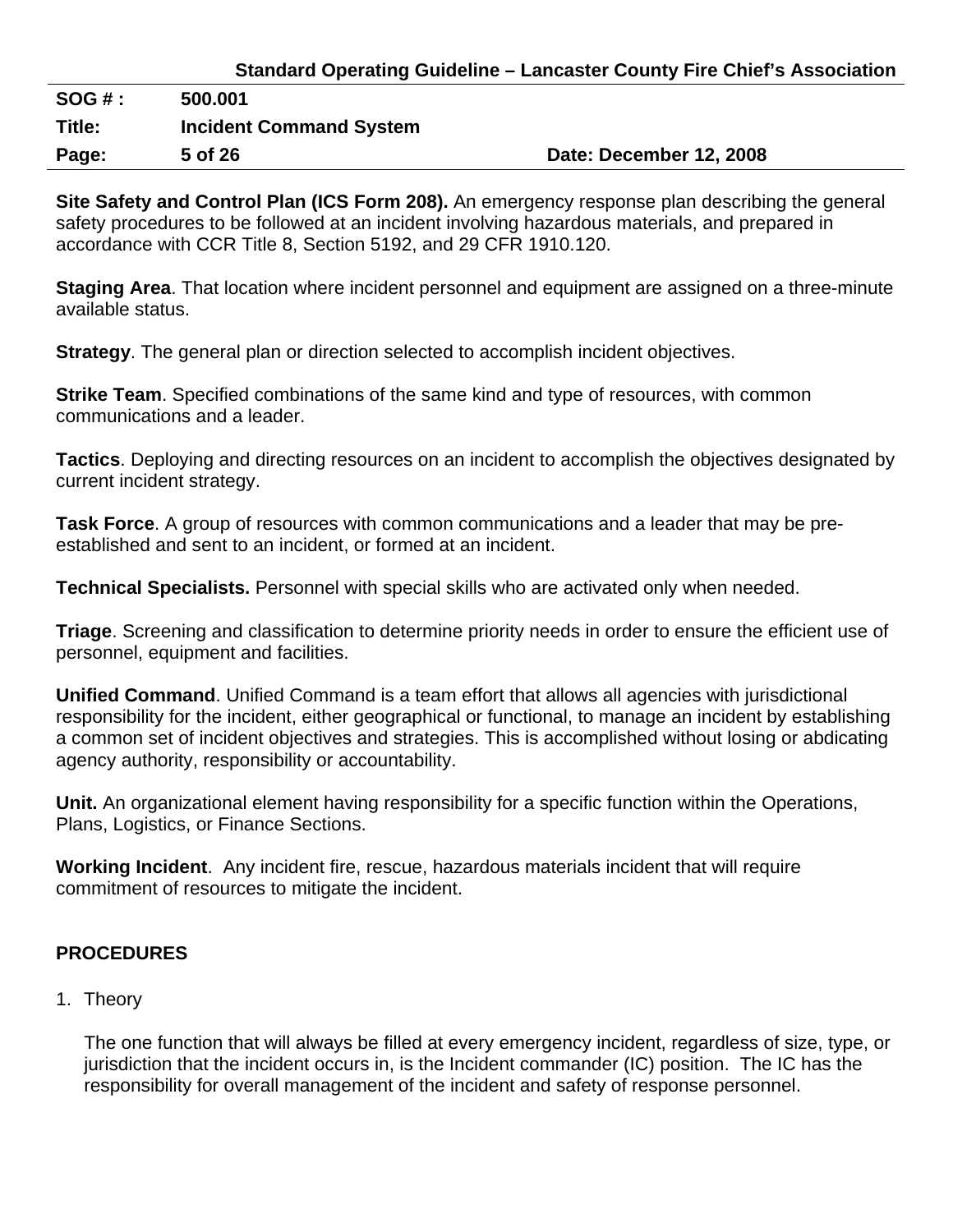| <b>Standard Operating Guideline - Lancaster County Fire Chief's Association</b> |  |  |
|---------------------------------------------------------------------------------|--|--|
|---------------------------------------------------------------------------------|--|--|

| SOG#:  | 500.001                        |                         |
|--------|--------------------------------|-------------------------|
| Title: | <b>Incident Command System</b> |                         |
| Page:  | 5 of 26                        | Date: December 12, 2008 |

**Site Safety and Control Plan (ICS Form 208).** An emergency response plan describing the general safety procedures to be followed at an incident involving hazardous materials, and prepared in accordance with CCR Title 8, Section 5192, and 29 CFR 1910.120.

**Staging Area**. That location where incident personnel and equipment are assigned on a three-minute available status.

**Strategy**. The general plan or direction selected to accomplish incident objectives.

**Strike Team**. Specified combinations of the same kind and type of resources, with common communications and a leader.

**Tactics**. Deploying and directing resources on an incident to accomplish the objectives designated by current incident strategy.

**Task Force**. A group of resources with common communications and a leader that may be preestablished and sent to an incident, or formed at an incident.

**Technical Specialists.** Personnel with special skills who are activated only when needed.

**Triage**. Screening and classification to determine priority needs in order to ensure the efficient use of personnel, equipment and facilities.

**Unified Command**. Unified Command is a team effort that allows all agencies with jurisdictional responsibility for the incident, either geographical or functional, to manage an incident by establishing a common set of incident objectives and strategies. This is accomplished without losing or abdicating agency authority, responsibility or accountability.

**Unit.** An organizational element having responsibility for a specific function within the Operations, Plans, Logistics, or Finance Sections.

**Working Incident**. Any incident fire, rescue, hazardous materials incident that will require commitment of resources to mitigate the incident.

## **PROCEDURES**

1. Theory

The one function that will always be filled at every emergency incident, regardless of size, type, or jurisdiction that the incident occurs in, is the Incident commander (IC) position. The IC has the responsibility for overall management of the incident and safety of response personnel.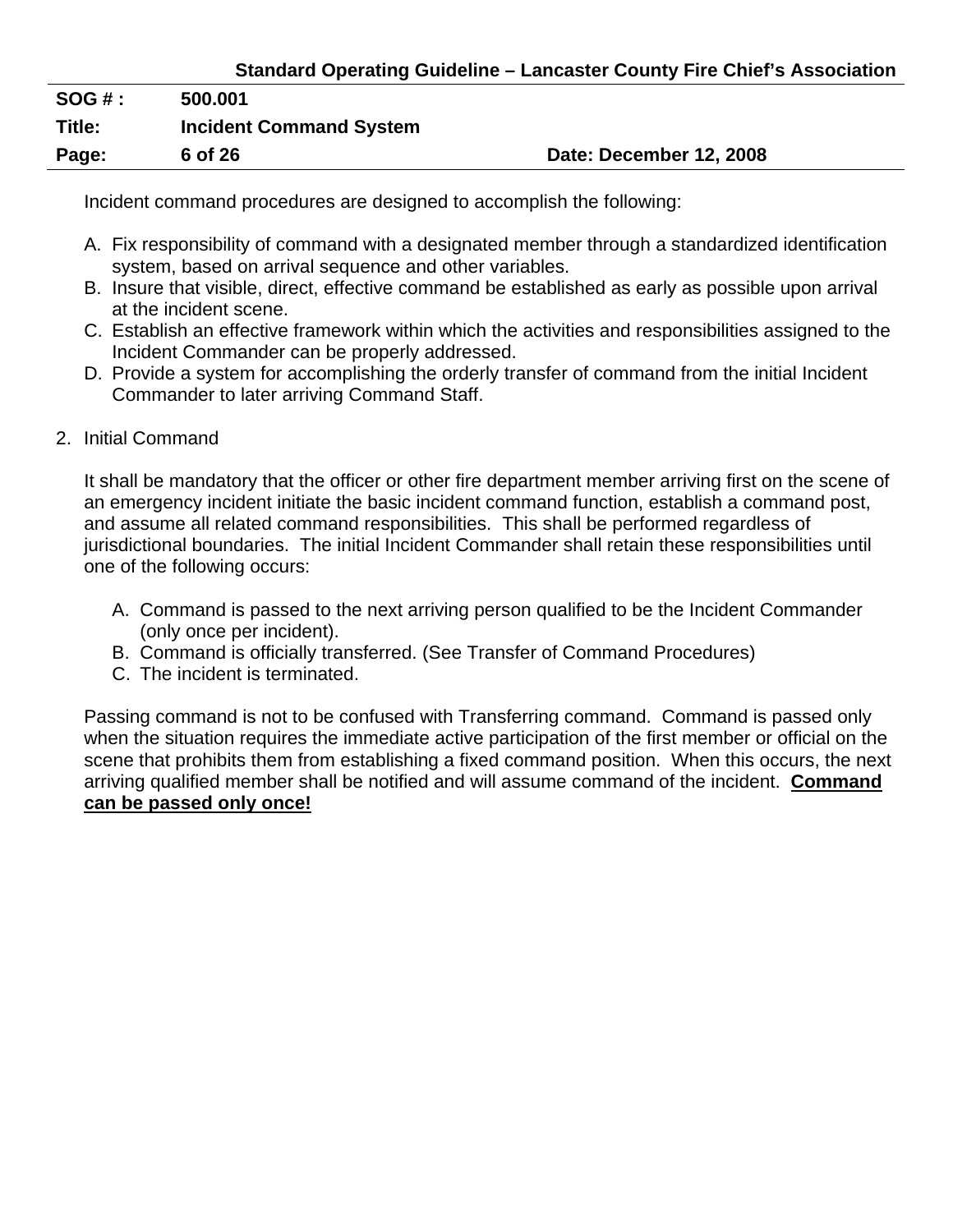| <b>SOG#:</b> | 500.001                        |                         |
|--------------|--------------------------------|-------------------------|
| Title:       | <b>Incident Command System</b> |                         |
| Page:        | 6 of 26                        | Date: December 12, 2008 |

Incident command procedures are designed to accomplish the following:

- A. Fix responsibility of command with a designated member through a standardized identification system, based on arrival sequence and other variables.
- B. Insure that visible, direct, effective command be established as early as possible upon arrival at the incident scene.
- C. Establish an effective framework within which the activities and responsibilities assigned to the Incident Commander can be properly addressed.
- D. Provide a system for accomplishing the orderly transfer of command from the initial Incident Commander to later arriving Command Staff.
- 2. Initial Command

It shall be mandatory that the officer or other fire department member arriving first on the scene of an emergency incident initiate the basic incident command function, establish a command post, and assume all related command responsibilities. This shall be performed regardless of jurisdictional boundaries. The initial Incident Commander shall retain these responsibilities until one of the following occurs:

- A. Command is passed to the next arriving person qualified to be the Incident Commander (only once per incident).
- B. Command is officially transferred. (See Transfer of Command Procedures)
- C. The incident is terminated.

Passing command is not to be confused with Transferring command. Command is passed only when the situation requires the immediate active participation of the first member or official on the scene that prohibits them from establishing a fixed command position. When this occurs, the next arriving qualified member shall be notified and will assume command of the incident. **Command can be passed only once!**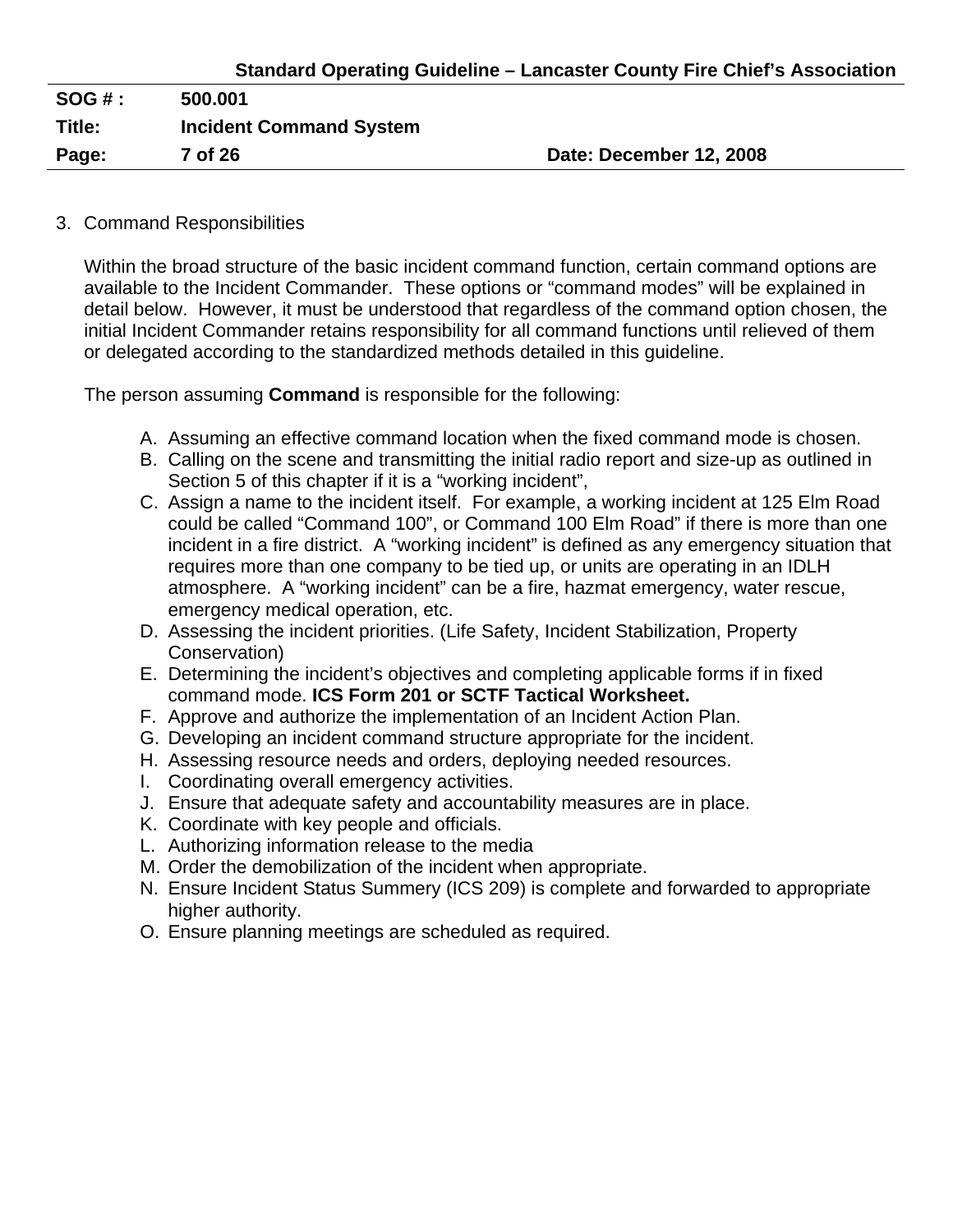| <b>SOG#:</b> | 500.001                        |                         |
|--------------|--------------------------------|-------------------------|
| Title:       | <b>Incident Command System</b> |                         |
| Page:        | 7 of 26                        | Date: December 12, 2008 |

#### 3. Command Responsibilities

Within the broad structure of the basic incident command function, certain command options are available to the Incident Commander. These options or "command modes" will be explained in detail below. However, it must be understood that regardless of the command option chosen, the initial Incident Commander retains responsibility for all command functions until relieved of them or delegated according to the standardized methods detailed in this guideline.

The person assuming **Command** is responsible for the following:

- A. Assuming an effective command location when the fixed command mode is chosen.
- B. Calling on the scene and transmitting the initial radio report and size-up as outlined in Section 5 of this chapter if it is a "working incident",
- C. Assign a name to the incident itself. For example, a working incident at 125 Elm Road could be called "Command 100", or Command 100 Elm Road" if there is more than one incident in a fire district. A "working incident" is defined as any emergency situation that requires more than one company to be tied up, or units are operating in an IDLH atmosphere. A "working incident" can be a fire, hazmat emergency, water rescue, emergency medical operation, etc.
- D. Assessing the incident priorities. (Life Safety, Incident Stabilization, Property Conservation)
- E. Determining the incident's objectives and completing applicable forms if in fixed command mode. **ICS Form 201 or SCTF Tactical Worksheet.**
- F. Approve and authorize the implementation of an Incident Action Plan.
- G. Developing an incident command structure appropriate for the incident.
- H. Assessing resource needs and orders, deploying needed resources.
- I. Coordinating overall emergency activities.
- J. Ensure that adequate safety and accountability measures are in place.
- K. Coordinate with key people and officials.
- L. Authorizing information release to the media
- M. Order the demobilization of the incident when appropriate.
- N. Ensure Incident Status Summery (ICS 209) is complete and forwarded to appropriate higher authority.
- O. Ensure planning meetings are scheduled as required.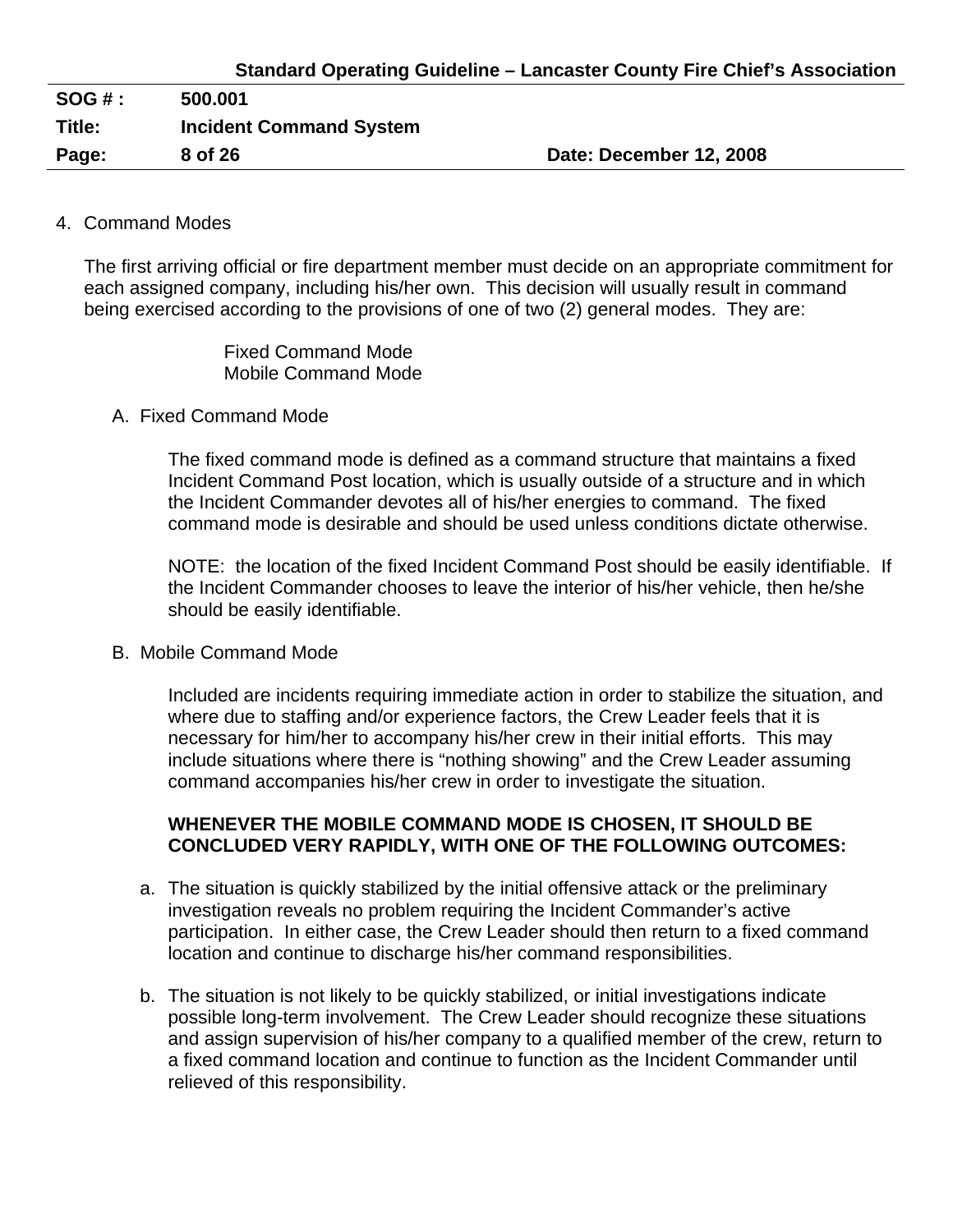| <b>SOG#:</b> | 500.001                        |                         |
|--------------|--------------------------------|-------------------------|
| Title:       | <b>Incident Command System</b> |                         |
| Page:        | 8 of 26                        | Date: December 12, 2008 |

#### 4. Command Modes

The first arriving official or fire department member must decide on an appropriate commitment for each assigned company, including his/her own. This decision will usually result in command being exercised according to the provisions of one of two (2) general modes. They are:

> Fixed Command Mode Mobile Command Mode

#### A. Fixed Command Mode

The fixed command mode is defined as a command structure that maintains a fixed Incident Command Post location, which is usually outside of a structure and in which the Incident Commander devotes all of his/her energies to command. The fixed command mode is desirable and should be used unless conditions dictate otherwise.

NOTE: the location of the fixed Incident Command Post should be easily identifiable. If the Incident Commander chooses to leave the interior of his/her vehicle, then he/she should be easily identifiable.

#### B. Mobile Command Mode

Included are incidents requiring immediate action in order to stabilize the situation, and where due to staffing and/or experience factors, the Crew Leader feels that it is necessary for him/her to accompany his/her crew in their initial efforts. This may include situations where there is "nothing showing" and the Crew Leader assuming command accompanies his/her crew in order to investigate the situation.

#### **WHENEVER THE MOBILE COMMAND MODE IS CHOSEN, IT SHOULD BE CONCLUDED VERY RAPIDLY, WITH ONE OF THE FOLLOWING OUTCOMES:**

- a. The situation is quickly stabilized by the initial offensive attack or the preliminary investigation reveals no problem requiring the Incident Commander's active participation. In either case, the Crew Leader should then return to a fixed command location and continue to discharge his/her command responsibilities.
- b. The situation is not likely to be quickly stabilized, or initial investigations indicate possible long-term involvement. The Crew Leader should recognize these situations and assign supervision of his/her company to a qualified member of the crew, return to a fixed command location and continue to function as the Incident Commander until relieved of this responsibility.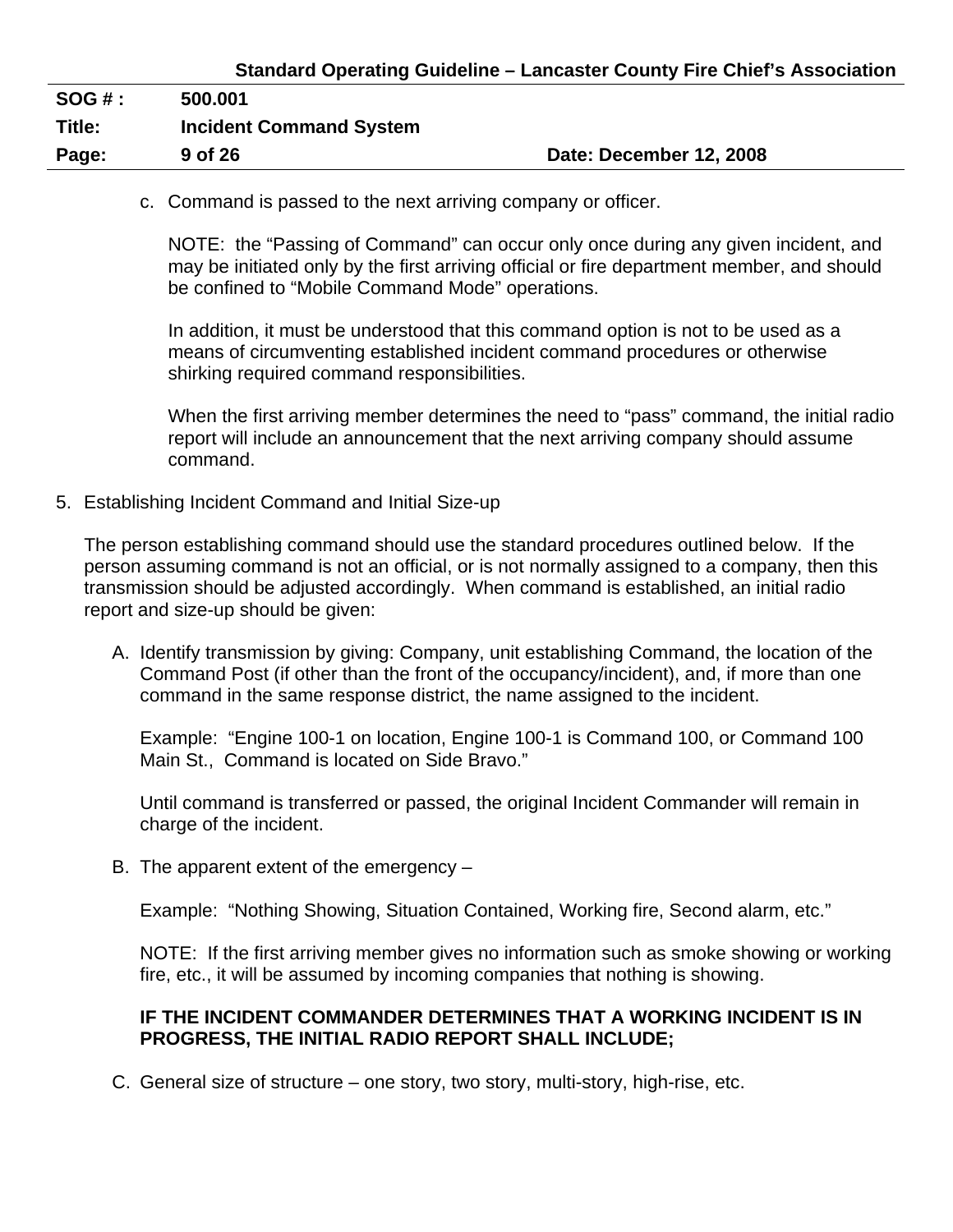| $SOG#$ : | 500.001                        |                         |
|----------|--------------------------------|-------------------------|
| Title:   | <b>Incident Command System</b> |                         |
| Page:    | 9 of 26                        | Date: December 12, 2008 |

c. Command is passed to the next arriving company or officer.

NOTE: the "Passing of Command" can occur only once during any given incident, and may be initiated only by the first arriving official or fire department member, and should be confined to "Mobile Command Mode" operations.

In addition, it must be understood that this command option is not to be used as a means of circumventing established incident command procedures or otherwise shirking required command responsibilities.

When the first arriving member determines the need to "pass" command, the initial radio report will include an announcement that the next arriving company should assume command.

5. Establishing Incident Command and Initial Size-up

The person establishing command should use the standard procedures outlined below. If the person assuming command is not an official, or is not normally assigned to a company, then this transmission should be adjusted accordingly. When command is established, an initial radio report and size-up should be given:

A. Identify transmission by giving: Company, unit establishing Command, the location of the Command Post (if other than the front of the occupancy/incident), and, if more than one command in the same response district, the name assigned to the incident.

Example: "Engine 100-1 on location, Engine 100-1 is Command 100, or Command 100 Main St., Command is located on Side Bravo."

Until command is transferred or passed, the original Incident Commander will remain in charge of the incident.

B. The apparent extent of the emergency –

Example: "Nothing Showing, Situation Contained, Working fire, Second alarm, etc."

NOTE: If the first arriving member gives no information such as smoke showing or working fire, etc., it will be assumed by incoming companies that nothing is showing.

#### **IF THE INCIDENT COMMANDER DETERMINES THAT A WORKING INCIDENT IS IN PROGRESS, THE INITIAL RADIO REPORT SHALL INCLUDE;**

C. General size of structure – one story, two story, multi-story, high-rise, etc.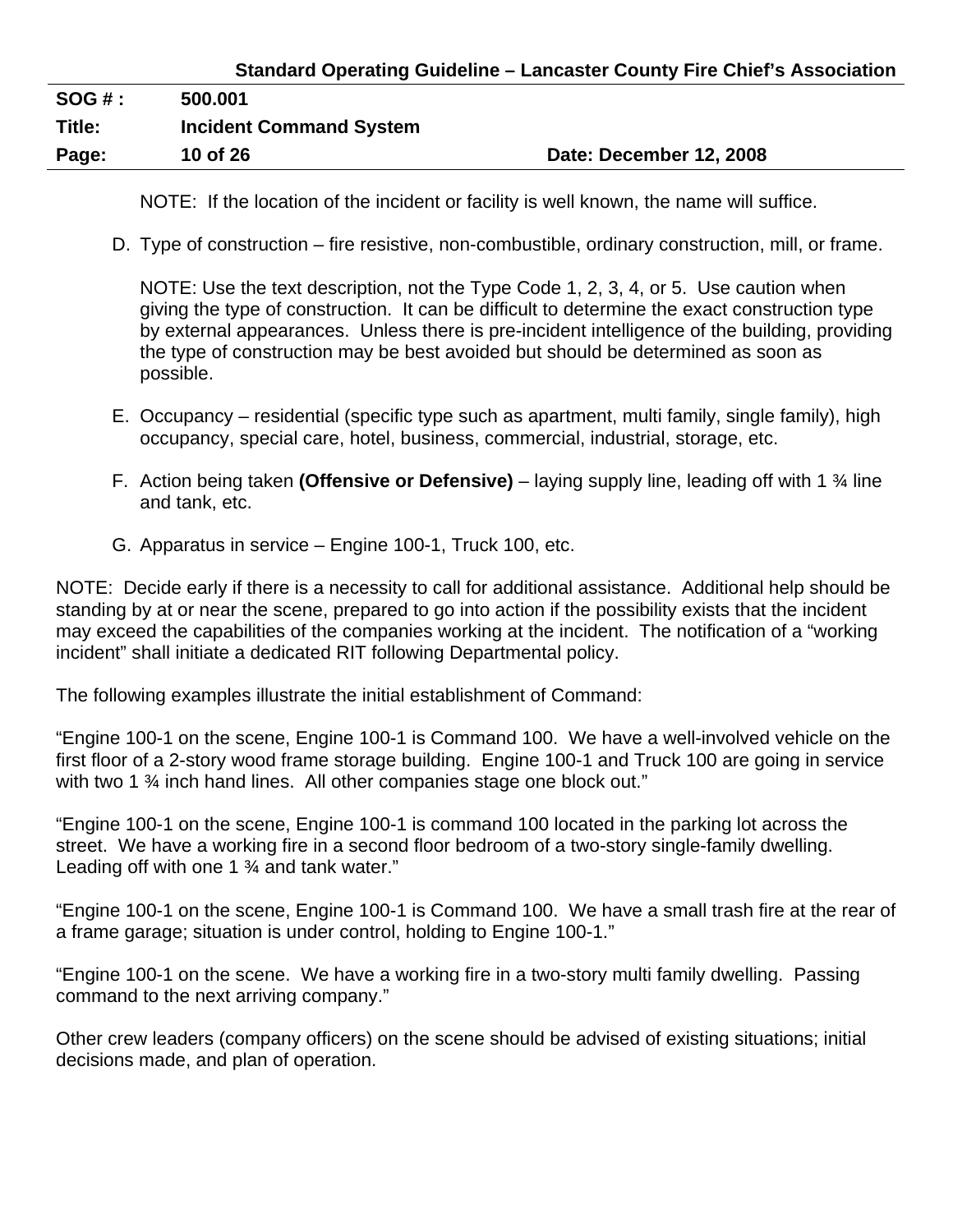# **Standard Operating Guideline – Lancaster County Fire Chief's Association**

| SOG#:  | 500.001                        |                         |
|--------|--------------------------------|-------------------------|
| Title: | <b>Incident Command System</b> |                         |
| Page:  | 10 of 26                       | Date: December 12, 2008 |

NOTE: If the location of the incident or facility is well known, the name will suffice.

D. Type of construction – fire resistive, non-combustible, ordinary construction, mill, or frame.

NOTE: Use the text description, not the Type Code 1, 2, 3, 4, or 5. Use caution when giving the type of construction. It can be difficult to determine the exact construction type by external appearances. Unless there is pre-incident intelligence of the building, providing the type of construction may be best avoided but should be determined as soon as possible.

- E. Occupancy residential (specific type such as apartment, multi family, single family), high occupancy, special care, hotel, business, commercial, industrial, storage, etc.
- F. Action being taken **(Offensive or Defensive)** laying supply line, leading off with 1 ¾ line and tank, etc.
- G. Apparatus in service Engine 100-1, Truck 100, etc.

NOTE: Decide early if there is a necessity to call for additional assistance. Additional help should be standing by at or near the scene, prepared to go into action if the possibility exists that the incident may exceed the capabilities of the companies working at the incident. The notification of a "working incident" shall initiate a dedicated RIT following Departmental policy.

The following examples illustrate the initial establishment of Command:

"Engine 100-1 on the scene, Engine 100-1 is Command 100. We have a well-involved vehicle on the first floor of a 2-story wood frame storage building. Engine 100-1 and Truck 100 are going in service with two 1 % inch hand lines. All other companies stage one block out."

"Engine 100-1 on the scene, Engine 100-1 is command 100 located in the parking lot across the street. We have a working fire in a second floor bedroom of a two-story single-family dwelling. Leading off with one 1 <sup>3</sup>/<sub>4</sub> and tank water."

"Engine 100-1 on the scene, Engine 100-1 is Command 100. We have a small trash fire at the rear of a frame garage; situation is under control, holding to Engine 100-1."

"Engine 100-1 on the scene. We have a working fire in a two-story multi family dwelling. Passing command to the next arriving company."

Other crew leaders (company officers) on the scene should be advised of existing situations; initial decisions made, and plan of operation.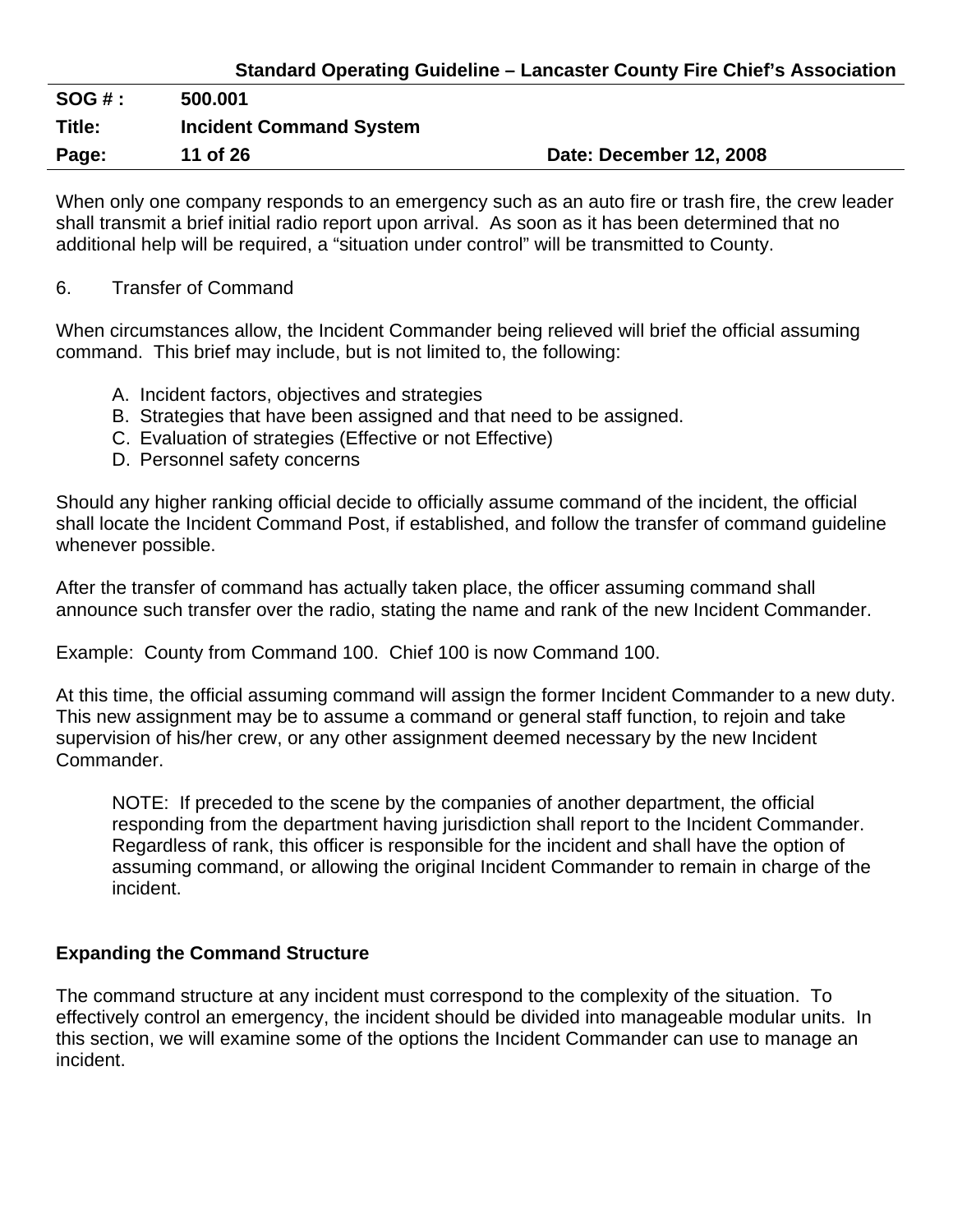## **Standard Operating Guideline – Lancaster County Fire Chief's Association**

| $SOG#$ : | 500.001                        |                         |
|----------|--------------------------------|-------------------------|
| Title:   | <b>Incident Command System</b> |                         |
| Page:    | 11 of 26                       | Date: December 12, 2008 |

When only one company responds to an emergency such as an auto fire or trash fire, the crew leader shall transmit a brief initial radio report upon arrival. As soon as it has been determined that no additional help will be required, a "situation under control" will be transmitted to County.

#### 6. Transfer of Command

When circumstances allow, the Incident Commander being relieved will brief the official assuming command. This brief may include, but is not limited to, the following:

- A. Incident factors, objectives and strategies
- B. Strategies that have been assigned and that need to be assigned.
- C. Evaluation of strategies (Effective or not Effective)
- D. Personnel safety concerns

Should any higher ranking official decide to officially assume command of the incident, the official shall locate the Incident Command Post, if established, and follow the transfer of command guideline whenever possible.

After the transfer of command has actually taken place, the officer assuming command shall announce such transfer over the radio, stating the name and rank of the new Incident Commander.

Example: County from Command 100. Chief 100 is now Command 100.

At this time, the official assuming command will assign the former Incident Commander to a new duty. This new assignment may be to assume a command or general staff function, to rejoin and take supervision of his/her crew, or any other assignment deemed necessary by the new Incident Commander.

NOTE: If preceded to the scene by the companies of another department, the official responding from the department having jurisdiction shall report to the Incident Commander. Regardless of rank, this officer is responsible for the incident and shall have the option of assuming command, or allowing the original Incident Commander to remain in charge of the incident.

#### **Expanding the Command Structure**

The command structure at any incident must correspond to the complexity of the situation. To effectively control an emergency, the incident should be divided into manageable modular units. In this section, we will examine some of the options the Incident Commander can use to manage an incident.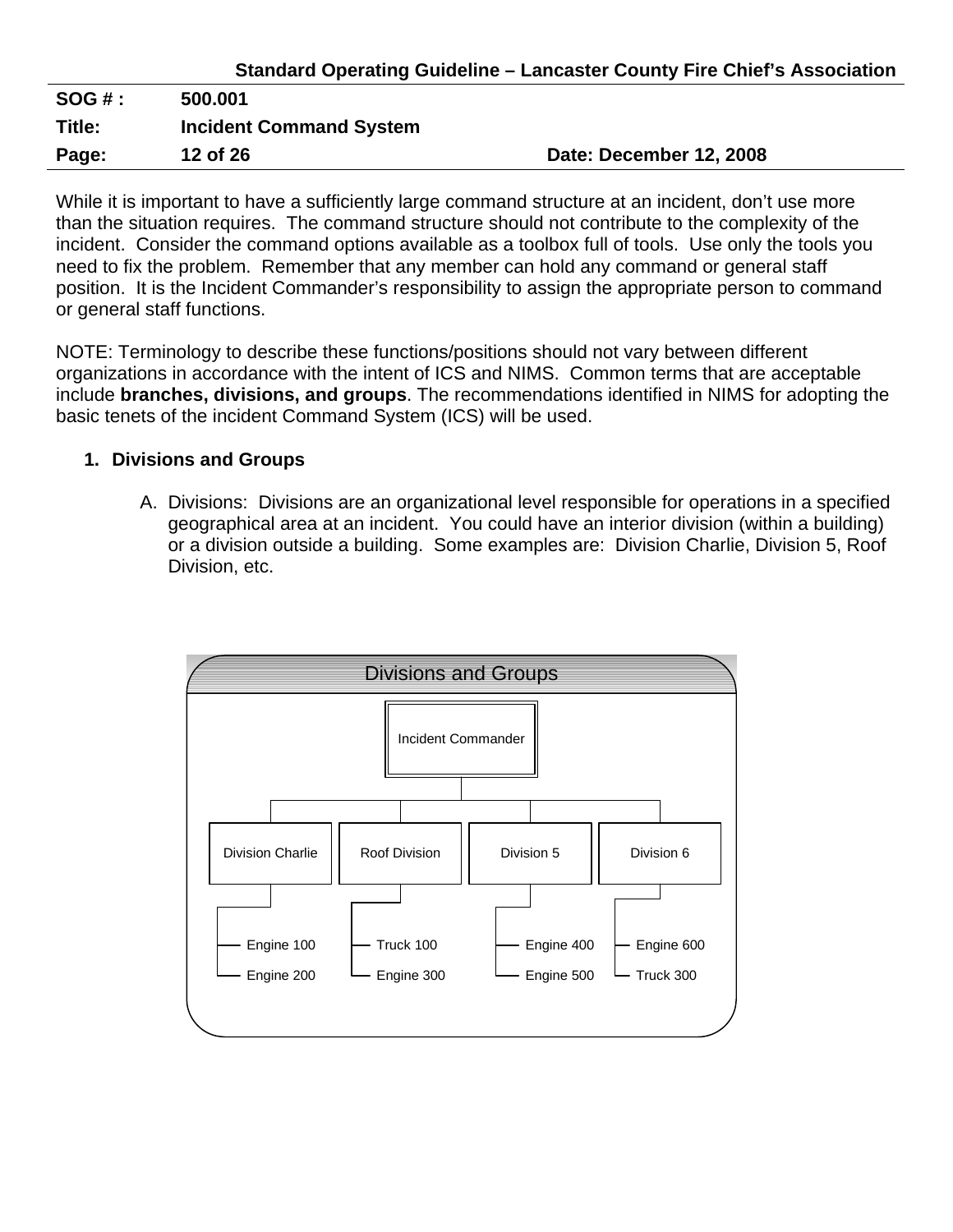| <b>Standard Operating Guideline - Lancaster County Fire Chief's Association</b> |
|---------------------------------------------------------------------------------|
|---------------------------------------------------------------------------------|

| $SOG#$ : | 500.001                        |                         |
|----------|--------------------------------|-------------------------|
| Title:   | <b>Incident Command System</b> |                         |
| Page:    | 12 of 26                       | Date: December 12, 2008 |

While it is important to have a sufficiently large command structure at an incident, don't use more than the situation requires. The command structure should not contribute to the complexity of the incident. Consider the command options available as a toolbox full of tools. Use only the tools you need to fix the problem. Remember that any member can hold any command or general staff position. It is the Incident Commander's responsibility to assign the appropriate person to command or general staff functions.

NOTE: Terminology to describe these functions/positions should not vary between different organizations in accordance with the intent of ICS and NIMS. Common terms that are acceptable include **branches, divisions, and groups**. The recommendations identified in NIMS for adopting the basic tenets of the incident Command System (ICS) will be used.

## **1. Divisions and Groups**

A. Divisions: Divisions are an organizational level responsible for operations in a specified geographical area at an incident. You could have an interior division (within a building) or a division outside a building. Some examples are: Division Charlie, Division 5, Roof Division, etc.

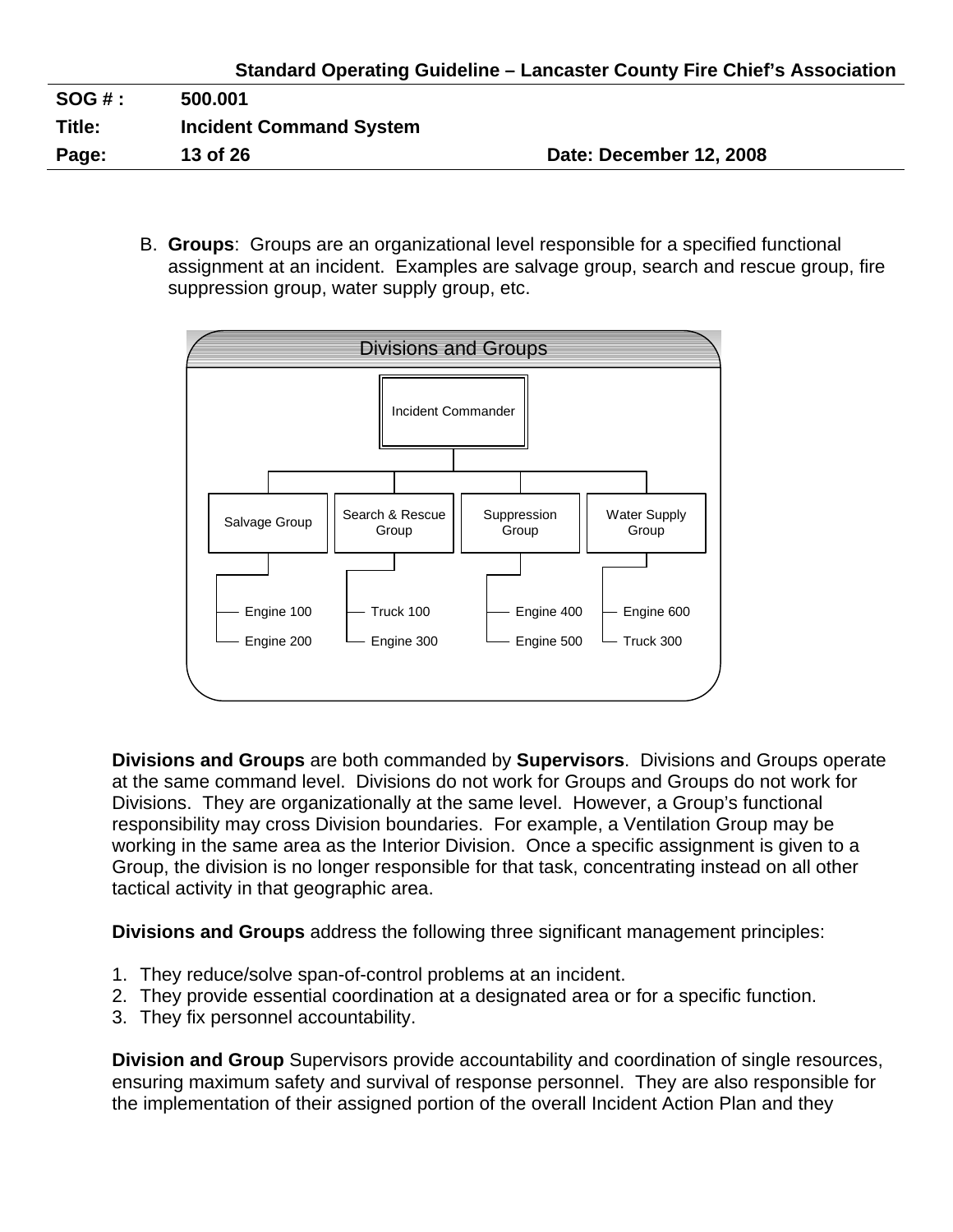| Page:  | 13 of 26                       | Date: December 12, 2008 |
|--------|--------------------------------|-------------------------|
| Title: | <b>Incident Command System</b> |                         |
| SOG #: | 500.001                        |                         |
|        |                                |                         |

B. **Groups**: Groups are an organizational level responsible for a specified functional assignment at an incident. Examples are salvage group, search and rescue group, fire suppression group, water supply group, etc.



**Divisions and Groups** are both commanded by **Supervisors**. Divisions and Groups operate at the same command level. Divisions do not work for Groups and Groups do not work for Divisions. They are organizationally at the same level. However, a Group's functional responsibility may cross Division boundaries. For example, a Ventilation Group may be working in the same area as the Interior Division. Once a specific assignment is given to a Group, the division is no longer responsible for that task, concentrating instead on all other tactical activity in that geographic area.

**Divisions and Groups** address the following three significant management principles:

- 1. They reduce/solve span-of-control problems at an incident.
- 2. They provide essential coordination at a designated area or for a specific function.
- 3. They fix personnel accountability.

**Division and Group** Supervisors provide accountability and coordination of single resources, ensuring maximum safety and survival of response personnel. They are also responsible for the implementation of their assigned portion of the overall Incident Action Plan and they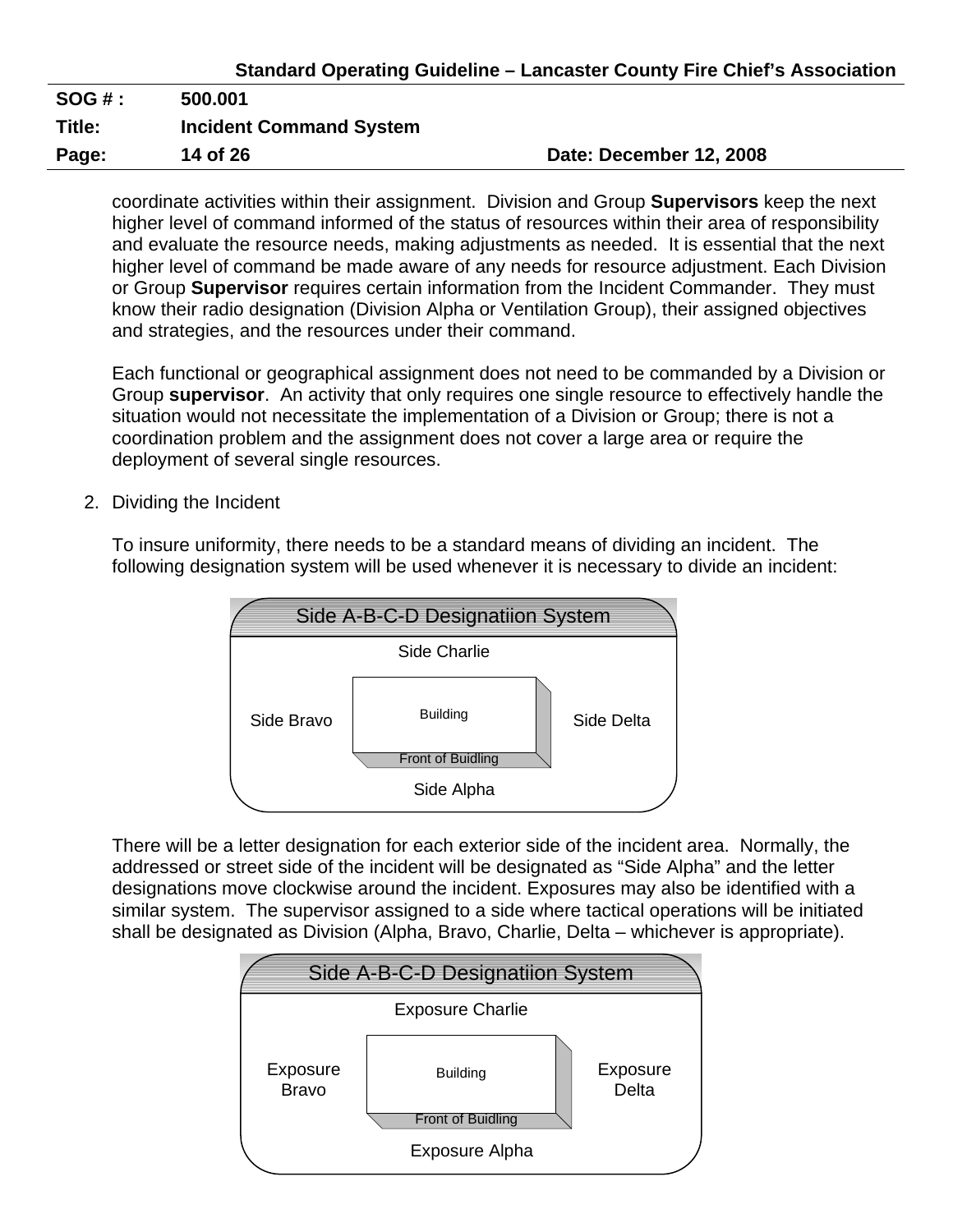|        |                                | Standard Operating Guideline – Lancaster County Fire Chief's Association |
|--------|--------------------------------|--------------------------------------------------------------------------|
| SOG#:  | 500.001                        |                                                                          |
| Title: | <b>Incident Command System</b> |                                                                          |
| Page:  | 14 of 26                       | Date: December 12, 2008                                                  |

coordinate activities within their assignment. Division and Group **Supervisors** keep the next higher level of command informed of the status of resources within their area of responsibility and evaluate the resource needs, making adjustments as needed. It is essential that the next higher level of command be made aware of any needs for resource adjustment. Each Division or Group **Supervisor** requires certain information from the Incident Commander. They must know their radio designation (Division Alpha or Ventilation Group), their assigned objectives and strategies, and the resources under their command.

Each functional or geographical assignment does not need to be commanded by a Division or Group **supervisor**. An activity that only requires one single resource to effectively handle the situation would not necessitate the implementation of a Division or Group; there is not a coordination problem and the assignment does not cover a large area or require the deployment of several single resources.

2. Dividing the Incident

To insure uniformity, there needs to be a standard means of dividing an incident. The following designation system will be used whenever it is necessary to divide an incident:



There will be a letter designation for each exterior side of the incident area. Normally, the addressed or street side of the incident will be designated as "Side Alpha" and the letter designations move clockwise around the incident. Exposures may also be identified with a similar system. The supervisor assigned to a side where tactical operations will be initiated shall be designated as Division (Alpha, Bravo, Charlie, Delta – whichever is appropriate).

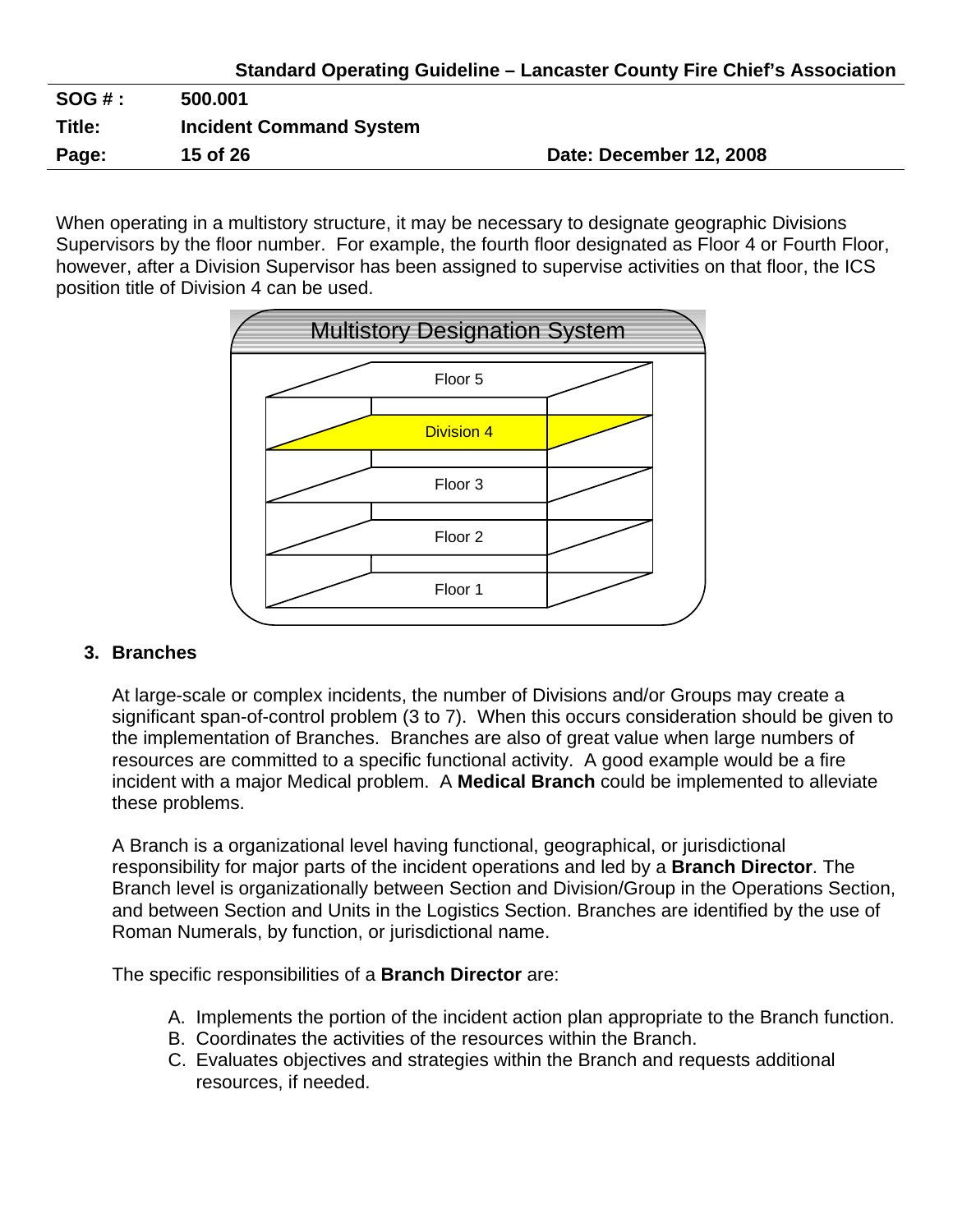| <b>SOG#:</b> | 500.001                        |                         |
|--------------|--------------------------------|-------------------------|
| Title:       | <b>Incident Command System</b> |                         |
| Page:        | 15 of 26                       | Date: December 12, 2008 |

When operating in a multistory structure, it may be necessary to designate geographic Divisions Supervisors by the floor number. For example, the fourth floor designated as Floor 4 or Fourth Floor, however, after a Division Supervisor has been assigned to supervise activities on that floor, the ICS position title of Division 4 can be used.



#### **3. Branches**

At large-scale or complex incidents, the number of Divisions and/or Groups may create a significant span-of-control problem (3 to 7). When this occurs consideration should be given to the implementation of Branches. Branches are also of great value when large numbers of resources are committed to a specific functional activity. A good example would be a fire incident with a major Medical problem. A **Medical Branch** could be implemented to alleviate these problems.

A Branch is a organizational level having functional, geographical, or jurisdictional responsibility for major parts of the incident operations and led by a **Branch Director**. The Branch level is organizationally between Section and Division/Group in the Operations Section, and between Section and Units in the Logistics Section. Branches are identified by the use of Roman Numerals, by function, or jurisdictional name.

The specific responsibilities of a **Branch Director** are:

- A. Implements the portion of the incident action plan appropriate to the Branch function.
- B. Coordinates the activities of the resources within the Branch.
- C. Evaluates objectives and strategies within the Branch and requests additional resources, if needed.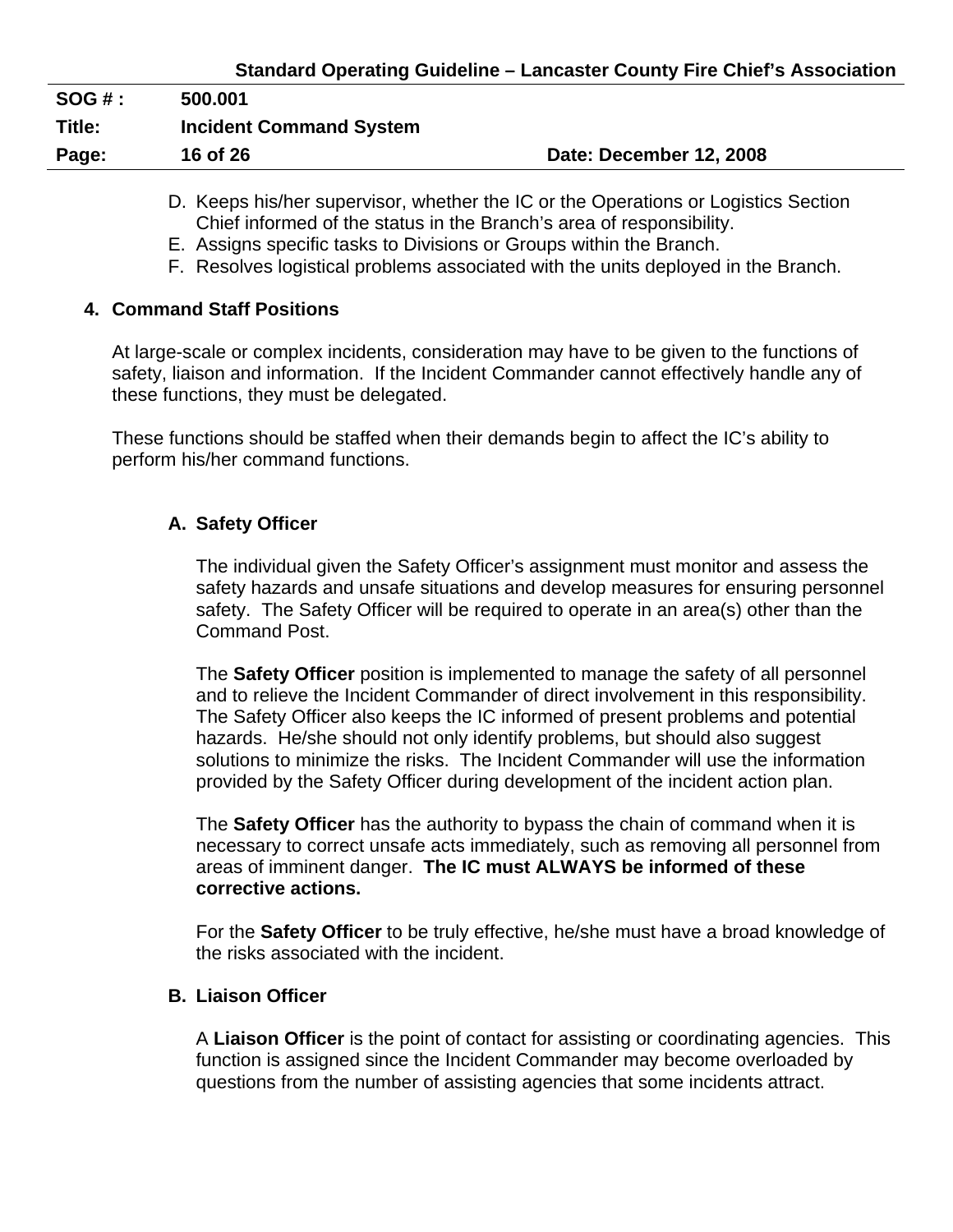| <b>SOG#:</b> | 500.001                        |                         |
|--------------|--------------------------------|-------------------------|
| Title:       | <b>Incident Command System</b> |                         |
| Page:        | 16 of 26                       | Date: December 12, 2008 |
|              |                                |                         |

- D. Keeps his/her supervisor, whether the IC or the Operations or Logistics Section Chief informed of the status in the Branch's area of responsibility.
- E. Assigns specific tasks to Divisions or Groups within the Branch.
- F. Resolves logistical problems associated with the units deployed in the Branch.

#### **4. Command Staff Positions**

At large-scale or complex incidents, consideration may have to be given to the functions of safety, liaison and information. If the Incident Commander cannot effectively handle any of these functions, they must be delegated.

These functions should be staffed when their demands begin to affect the IC's ability to perform his/her command functions.

## **A. Safety Officer**

The individual given the Safety Officer's assignment must monitor and assess the safety hazards and unsafe situations and develop measures for ensuring personnel safety. The Safety Officer will be required to operate in an area(s) other than the Command Post.

The **Safety Officer** position is implemented to manage the safety of all personnel and to relieve the Incident Commander of direct involvement in this responsibility. The Safety Officer also keeps the IC informed of present problems and potential hazards. He/she should not only identify problems, but should also suggest solutions to minimize the risks. The Incident Commander will use the information provided by the Safety Officer during development of the incident action plan.

The **Safety Officer** has the authority to bypass the chain of command when it is necessary to correct unsafe acts immediately, such as removing all personnel from areas of imminent danger. **The IC must ALWAYS be informed of these corrective actions.** 

For the **Safety Officer** to be truly effective, he/she must have a broad knowledge of the risks associated with the incident.

#### **B. Liaison Officer**

A **Liaison Officer** is the point of contact for assisting or coordinating agencies. This function is assigned since the Incident Commander may become overloaded by questions from the number of assisting agencies that some incidents attract.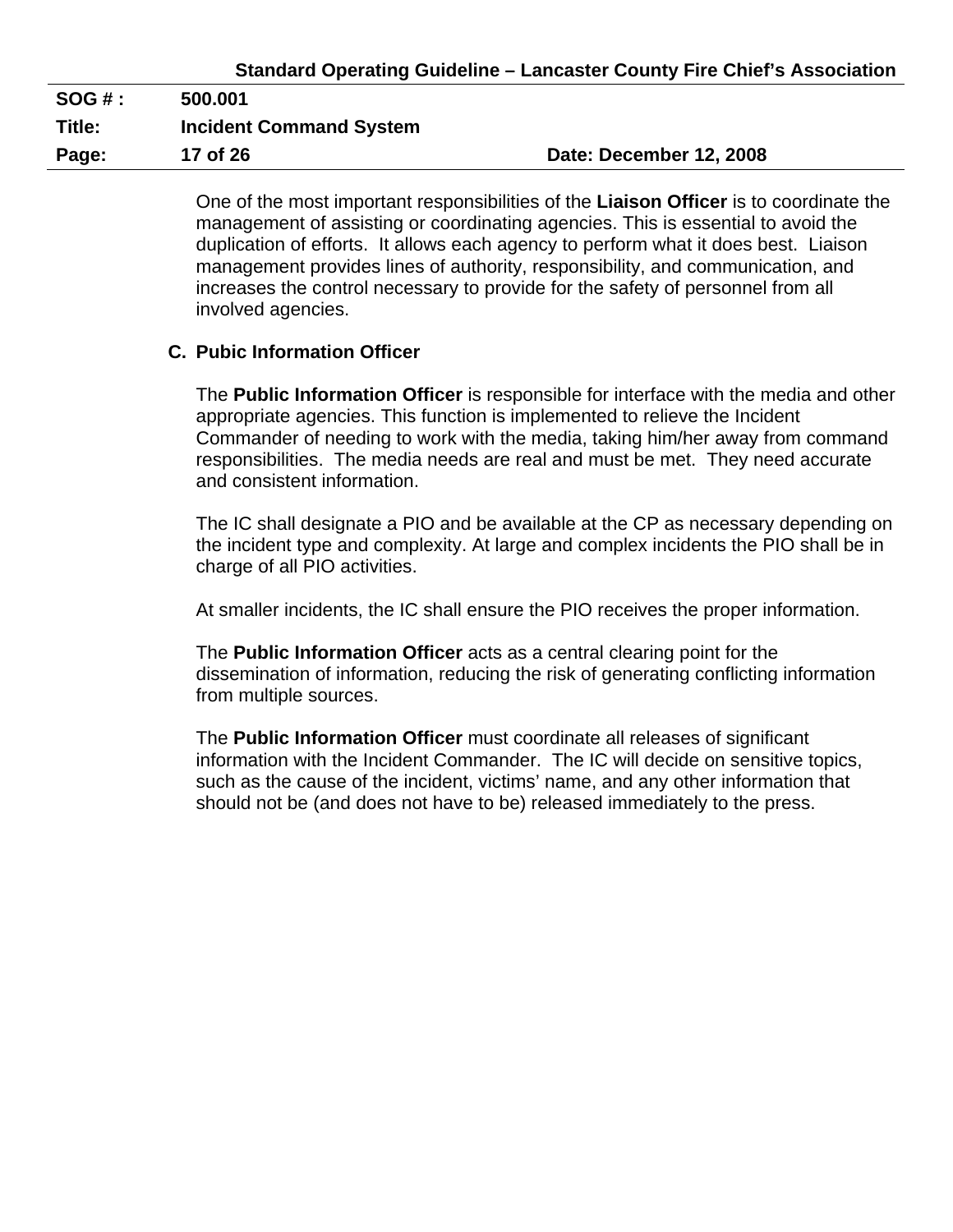| <b>SOG#:</b> | 500.001                        |                         |
|--------------|--------------------------------|-------------------------|
| Title:       | <b>Incident Command System</b> |                         |
| Page:        | 17 of 26                       | Date: December 12, 2008 |

One of the most important responsibilities of the **Liaison Officer** is to coordinate the management of assisting or coordinating agencies. This is essential to avoid the duplication of efforts. It allows each agency to perform what it does best. Liaison management provides lines of authority, responsibility, and communication, and increases the control necessary to provide for the safety of personnel from all involved agencies.

#### **C. Pubic Information Officer**

The **Public Information Officer** is responsible for interface with the media and other appropriate agencies. This function is implemented to relieve the Incident Commander of needing to work with the media, taking him/her away from command responsibilities. The media needs are real and must be met. They need accurate and consistent information.

The IC shall designate a PIO and be available at the CP as necessary depending on the incident type and complexity. At large and complex incidents the PIO shall be in charge of all PIO activities.

At smaller incidents, the IC shall ensure the PIO receives the proper information.

The **Public Information Officer** acts as a central clearing point for the dissemination of information, reducing the risk of generating conflicting information from multiple sources.

The **Public Information Officer** must coordinate all releases of significant information with the Incident Commander. The IC will decide on sensitive topics, such as the cause of the incident, victims' name, and any other information that should not be (and does not have to be) released immediately to the press.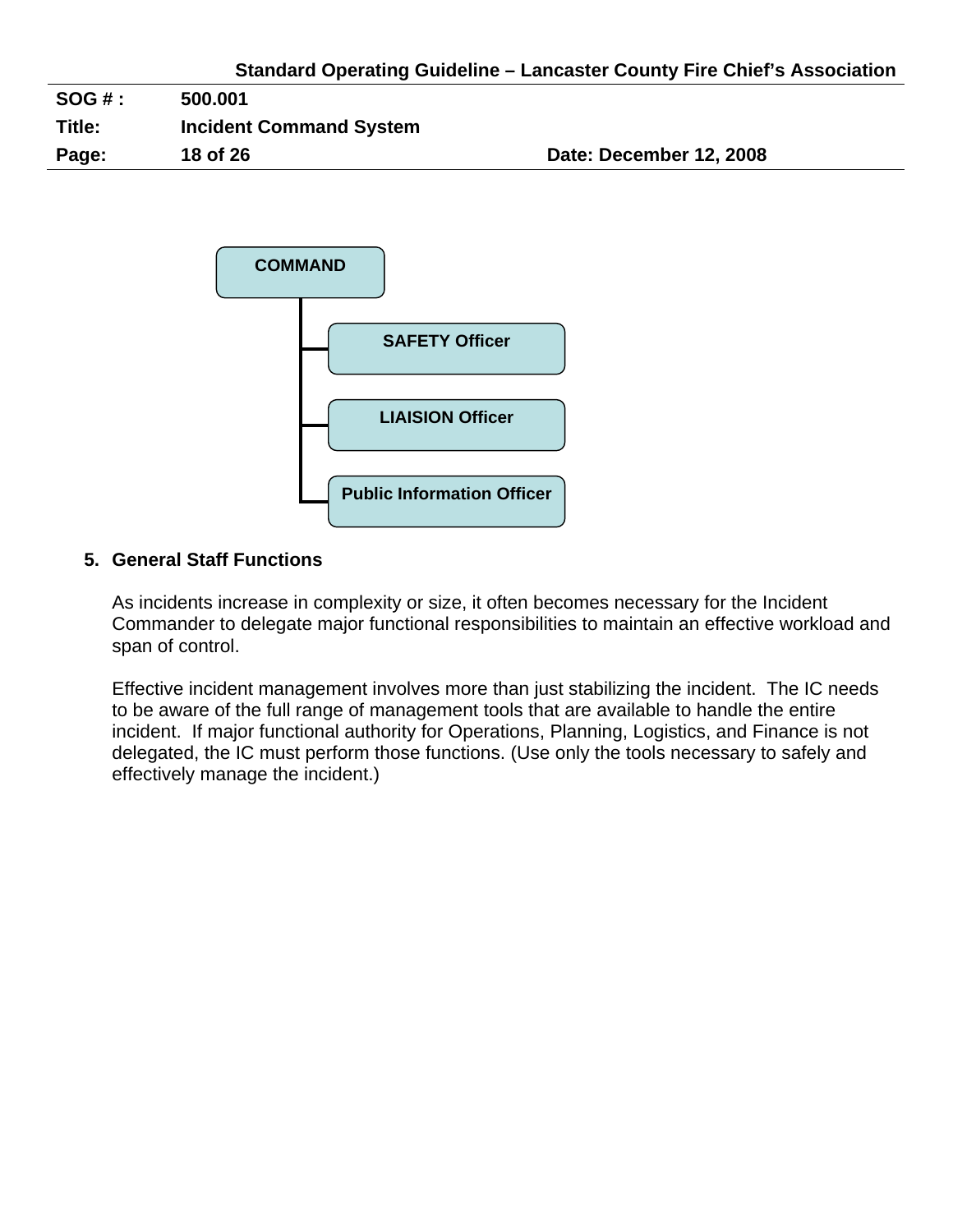| $SOG#$ : | 500.001                        |                         |
|----------|--------------------------------|-------------------------|
| Title:   | <b>Incident Command System</b> |                         |
| Page:    | 18 of 26                       | Date: December 12, 2008 |



## **5. General Staff Functions**

As incidents increase in complexity or size, it often becomes necessary for the Incident Commander to delegate major functional responsibilities to maintain an effective workload and span of control.

Effective incident management involves more than just stabilizing the incident. The IC needs to be aware of the full range of management tools that are available to handle the entire incident. If major functional authority for Operations, Planning, Logistics, and Finance is not delegated, the IC must perform those functions. (Use only the tools necessary to safely and effectively manage the incident.)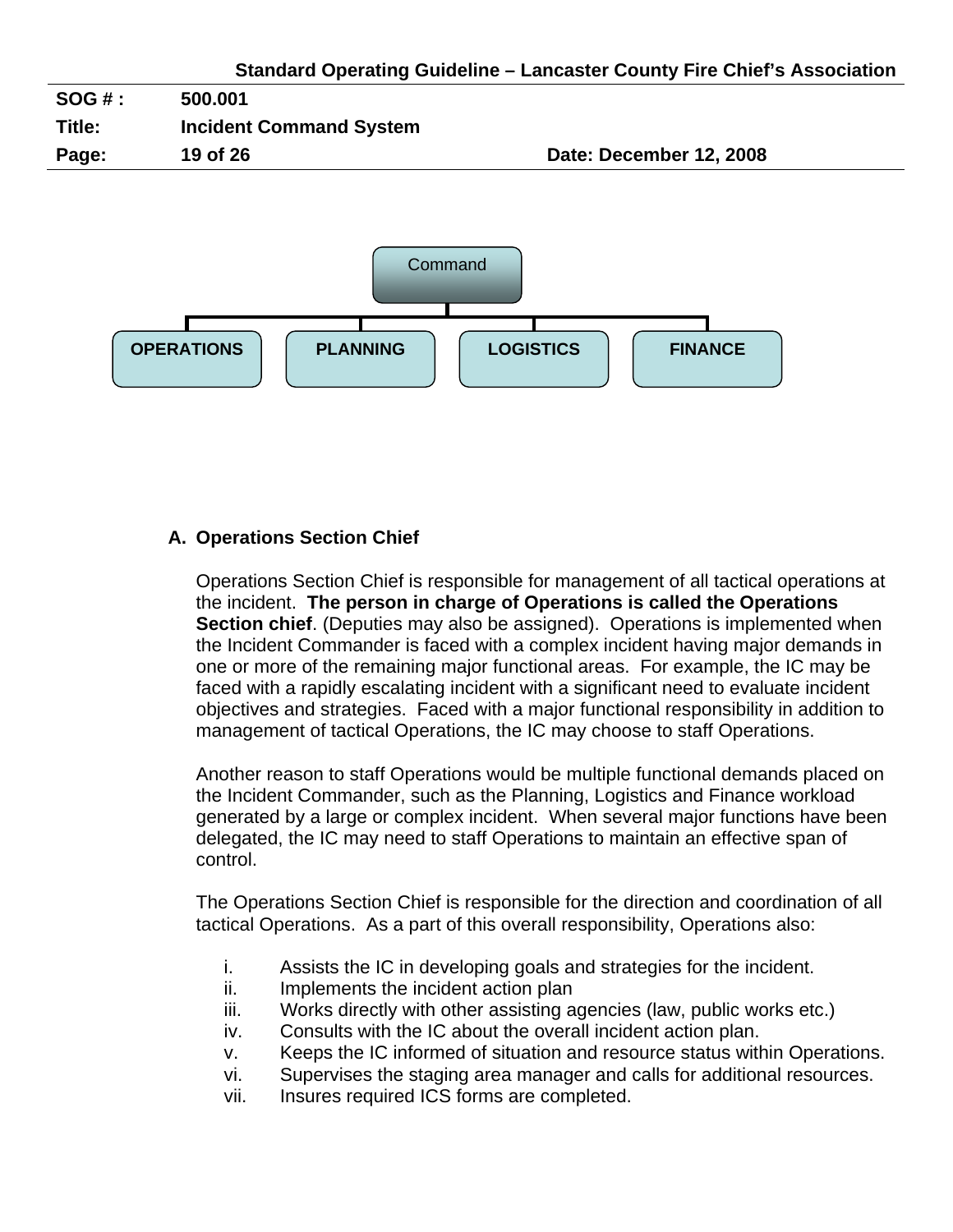



## **A. Operations Section Chief**

Operations Section Chief is responsible for management of all tactical operations at the incident. **The person in charge of Operations is called the Operations Section chief**. (Deputies may also be assigned). Operations is implemented when the Incident Commander is faced with a complex incident having major demands in one or more of the remaining major functional areas. For example, the IC may be faced with a rapidly escalating incident with a significant need to evaluate incident objectives and strategies. Faced with a major functional responsibility in addition to management of tactical Operations, the IC may choose to staff Operations.

Another reason to staff Operations would be multiple functional demands placed on the Incident Commander, such as the Planning, Logistics and Finance workload generated by a large or complex incident. When several major functions have been delegated, the IC may need to staff Operations to maintain an effective span of control.

The Operations Section Chief is responsible for the direction and coordination of all tactical Operations. As a part of this overall responsibility, Operations also:

- i. Assists the IC in developing goals and strategies for the incident.
- ii. Implements the incident action plan
- iii. Works directly with other assisting agencies (law, public works etc.)
- iv. Consults with the IC about the overall incident action plan.
- v. Keeps the IC informed of situation and resource status within Operations.
- vi. Supervises the staging area manager and calls for additional resources.
- vii. Insures required ICS forms are completed.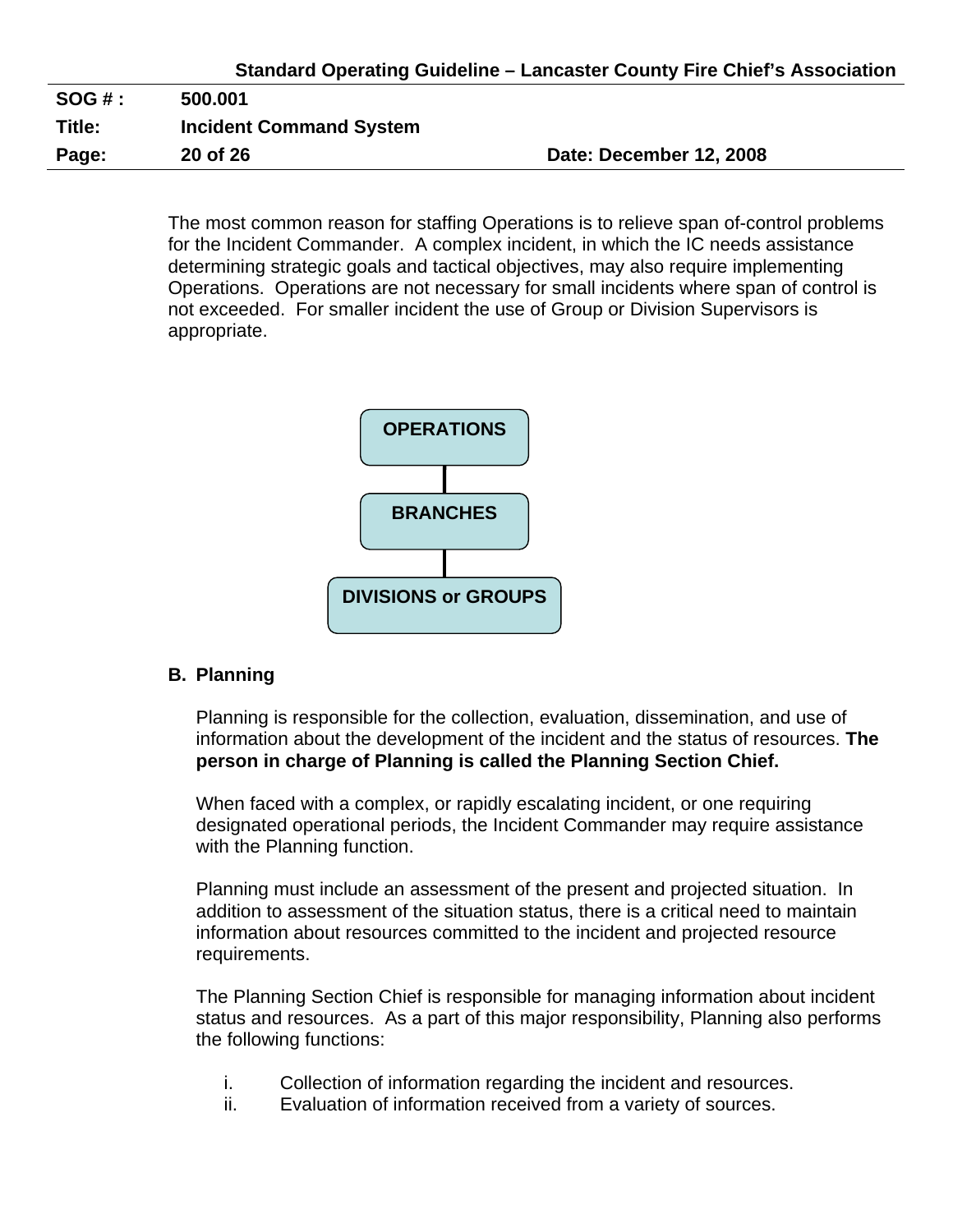|        |                                | Standard Operating Guideline - Lancaster County Fire Chief's Association |
|--------|--------------------------------|--------------------------------------------------------------------------|
| SOG #: | 500.001                        |                                                                          |
| Title: | <b>Incident Command System</b> |                                                                          |
| Page:  | 20 of 26                       | Date: December 12, 2008                                                  |

The most common reason for staffing Operations is to relieve span of-control problems for the Incident Commander. A complex incident, in which the IC needs assistance determining strategic goals and tactical objectives, may also require implementing Operations. Operations are not necessary for small incidents where span of control is not exceeded. For smaller incident the use of Group or Division Supervisors is appropriate.



#### **B. Planning**

Planning is responsible for the collection, evaluation, dissemination, and use of information about the development of the incident and the status of resources. **The person in charge of Planning is called the Planning Section Chief.** 

When faced with a complex, or rapidly escalating incident, or one requiring designated operational periods, the Incident Commander may require assistance with the Planning function.

Planning must include an assessment of the present and projected situation. In addition to assessment of the situation status, there is a critical need to maintain information about resources committed to the incident and projected resource requirements.

The Planning Section Chief is responsible for managing information about incident status and resources. As a part of this major responsibility, Planning also performs the following functions:

- i. Collection of information regarding the incident and resources.
- ii. Evaluation of information received from a variety of sources.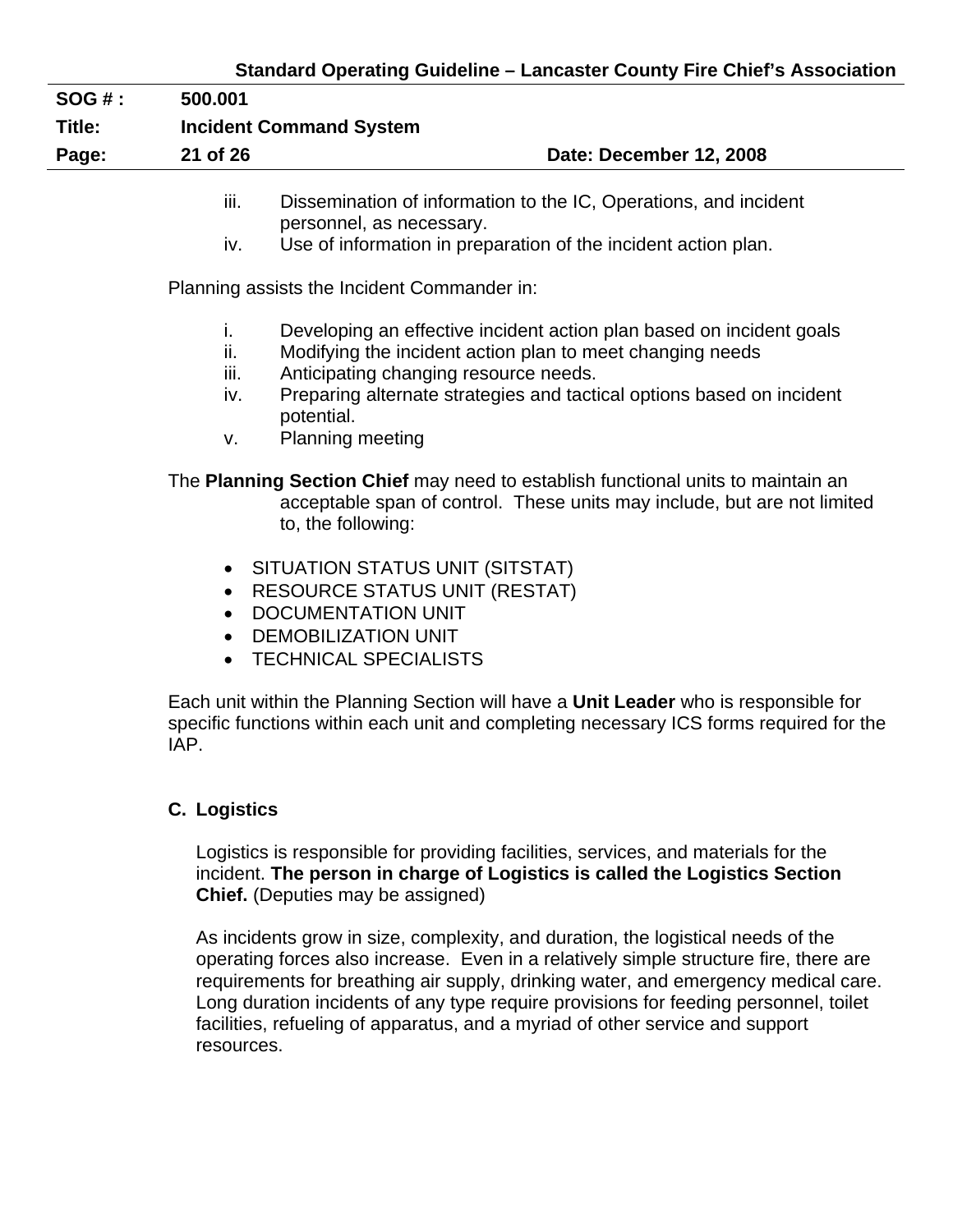## **Standard Operating Guideline – Lancaster County Fire Chief's Association**

# **SOG # : 500.001 Title: Incident Command System**  Page: 21 of 26 **Date: December 12, 2008**

- iii. Dissemination of information to the IC, Operations, and incident personnel, as necessary.
- iv. Use of information in preparation of the incident action plan.

Planning assists the Incident Commander in:

- i. Developing an effective incident action plan based on incident goals
- ii. Modifying the incident action plan to meet changing needs
- iii. Anticipating changing resource needs.
- iv. Preparing alternate strategies and tactical options based on incident potential.
- v. Planning meeting

The **Planning Section Chief** may need to establish functional units to maintain an acceptable span of control. These units may include, but are not limited to, the following:

- SITUATION STATUS UNIT (SITSTAT)
- RESOURCE STATUS UNIT (RESTAT)
- DOCUMENTATION UNIT
- DEMOBILIZATION UNIT
- TECHNICAL SPECIALISTS

Each unit within the Planning Section will have a **Unit Leader** who is responsible for specific functions within each unit and completing necessary ICS forms required for the IAP.

#### **C. Logistics**

Logistics is responsible for providing facilities, services, and materials for the incident. **The person in charge of Logistics is called the Logistics Section Chief.** (Deputies may be assigned)

As incidents grow in size, complexity, and duration, the logistical needs of the operating forces also increase. Even in a relatively simple structure fire, there are requirements for breathing air supply, drinking water, and emergency medical care. Long duration incidents of any type require provisions for feeding personnel, toilet facilities, refueling of apparatus, and a myriad of other service and support resources.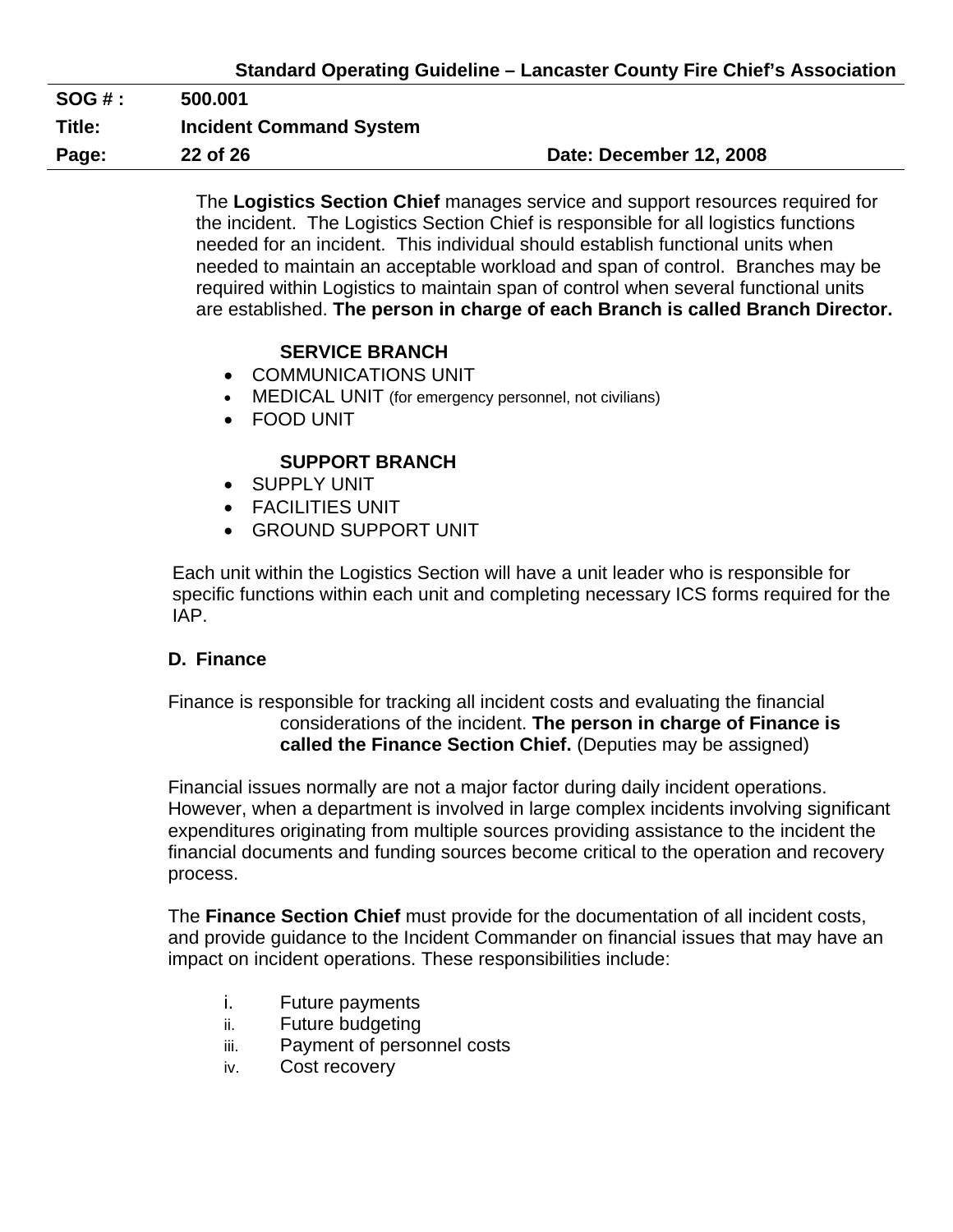| $SOG#$ : | 500.001                        |                         |
|----------|--------------------------------|-------------------------|
| Title:   | <b>Incident Command System</b> |                         |
| Page:    | 22 of 26                       | Date: December 12, 2008 |

The **Logistics Section Chief** manages service and support resources required for the incident. The Logistics Section Chief is responsible for all logistics functions needed for an incident. This individual should establish functional units when needed to maintain an acceptable workload and span of control. Branches may be required within Logistics to maintain span of control when several functional units are established. **The person in charge of each Branch is called Branch Director.** 

## **SERVICE BRANCH**

- COMMUNICATIONS UNIT
- MEDICAL UNIT (for emergency personnel, not civilians)
- FOOD UNIT

## **SUPPORT BRANCH**

- SUPPLY UNIT
- FACILITIES UNIT
- GROUND SUPPORT UNIT

Each unit within the Logistics Section will have a unit leader who is responsible for specific functions within each unit and completing necessary ICS forms required for the IAP.

## **D. Finance**

Finance is responsible for tracking all incident costs and evaluating the financial considerations of the incident. **The person in charge of Finance is called the Finance Section Chief.** (Deputies may be assigned)

Financial issues normally are not a major factor during daily incident operations. However, when a department is involved in large complex incidents involving significant expenditures originating from multiple sources providing assistance to the incident the financial documents and funding sources become critical to the operation and recovery process.

The **Finance Section Chief** must provide for the documentation of all incident costs, and provide guidance to the Incident Commander on financial issues that may have an impact on incident operations. These responsibilities include:

- i. Future payments
- ii. Future budgeting
- iii. Payment of personnel costs
- iv. Cost recovery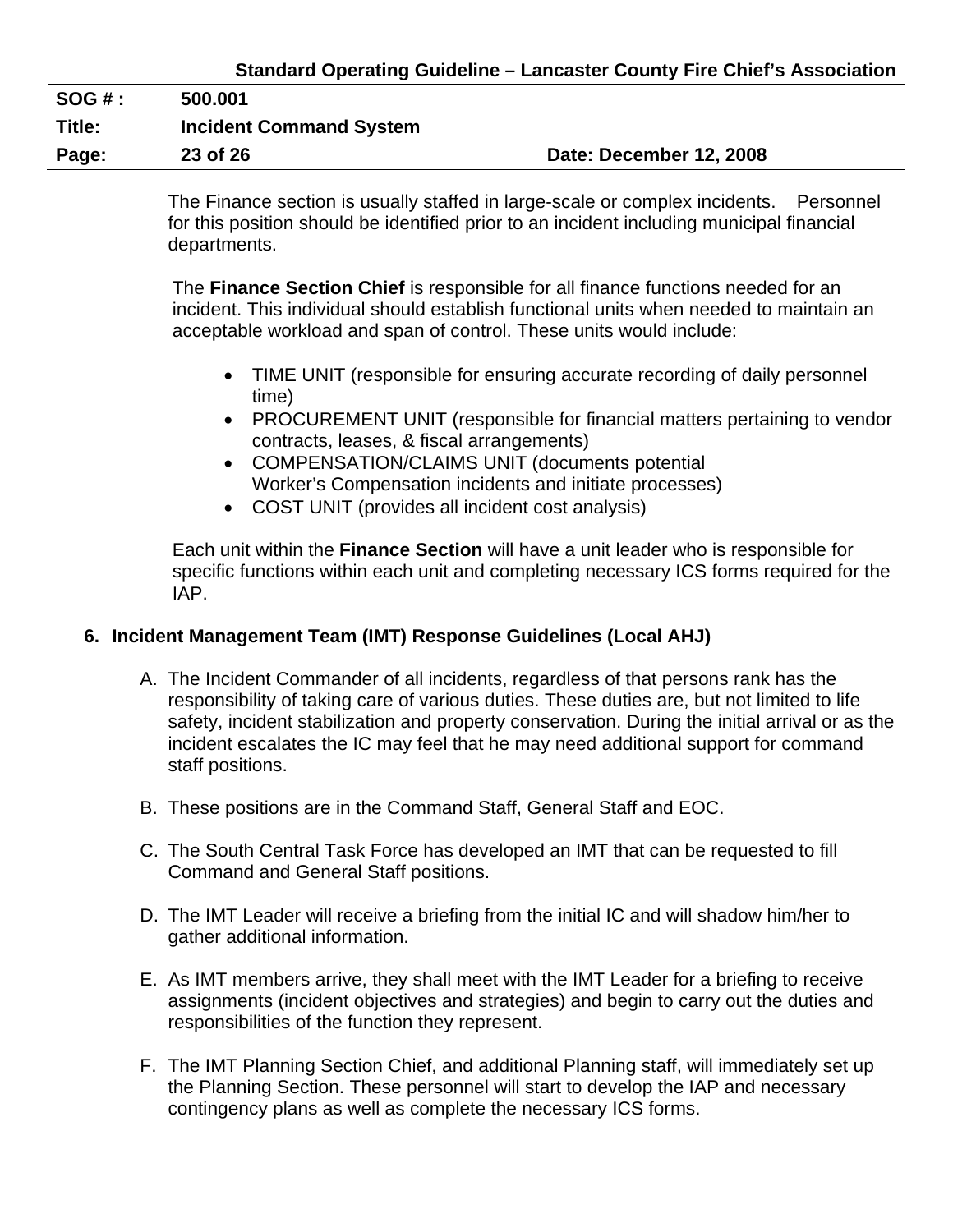| <b>SOG # :</b> | 500.001                        |                         |
|----------------|--------------------------------|-------------------------|
| Title:         | <b>Incident Command System</b> |                         |
| Page:          | 23 of 26                       | Date: December 12, 2008 |

The Finance section is usually staffed in large-scale or complex incidents. Personnel for this position should be identified prior to an incident including municipal financial departments.

The **Finance Section Chief** is responsible for all finance functions needed for an incident. This individual should establish functional units when needed to maintain an acceptable workload and span of control. These units would include:

- TIME UNIT (responsible for ensuring accurate recording of daily personnel time)
- PROCUREMENT UNIT (responsible for financial matters pertaining to vendor contracts, leases, & fiscal arrangements)
- COMPENSATION/CLAIMS UNIT (documents potential Worker's Compensation incidents and initiate processes)
- COST UNIT (provides all incident cost analysis)

Each unit within the **Finance Section** will have a unit leader who is responsible for specific functions within each unit and completing necessary ICS forms required for the IAP.

# **6. Incident Management Team (IMT) Response Guidelines (Local AHJ)**

- A. The Incident Commander of all incidents, regardless of that persons rank has the responsibility of taking care of various duties. These duties are, but not limited to life safety, incident stabilization and property conservation. During the initial arrival or as the incident escalates the IC may feel that he may need additional support for command staff positions.
- B. These positions are in the Command Staff, General Staff and EOC.
- C. The South Central Task Force has developed an IMT that can be requested to fill Command and General Staff positions.
- D. The IMT Leader will receive a briefing from the initial IC and will shadow him/her to gather additional information.
- E. As IMT members arrive, they shall meet with the IMT Leader for a briefing to receive assignments (incident objectives and strategies) and begin to carry out the duties and responsibilities of the function they represent.
- F. The IMT Planning Section Chief, and additional Planning staff, will immediately set up the Planning Section. These personnel will start to develop the IAP and necessary contingency plans as well as complete the necessary ICS forms.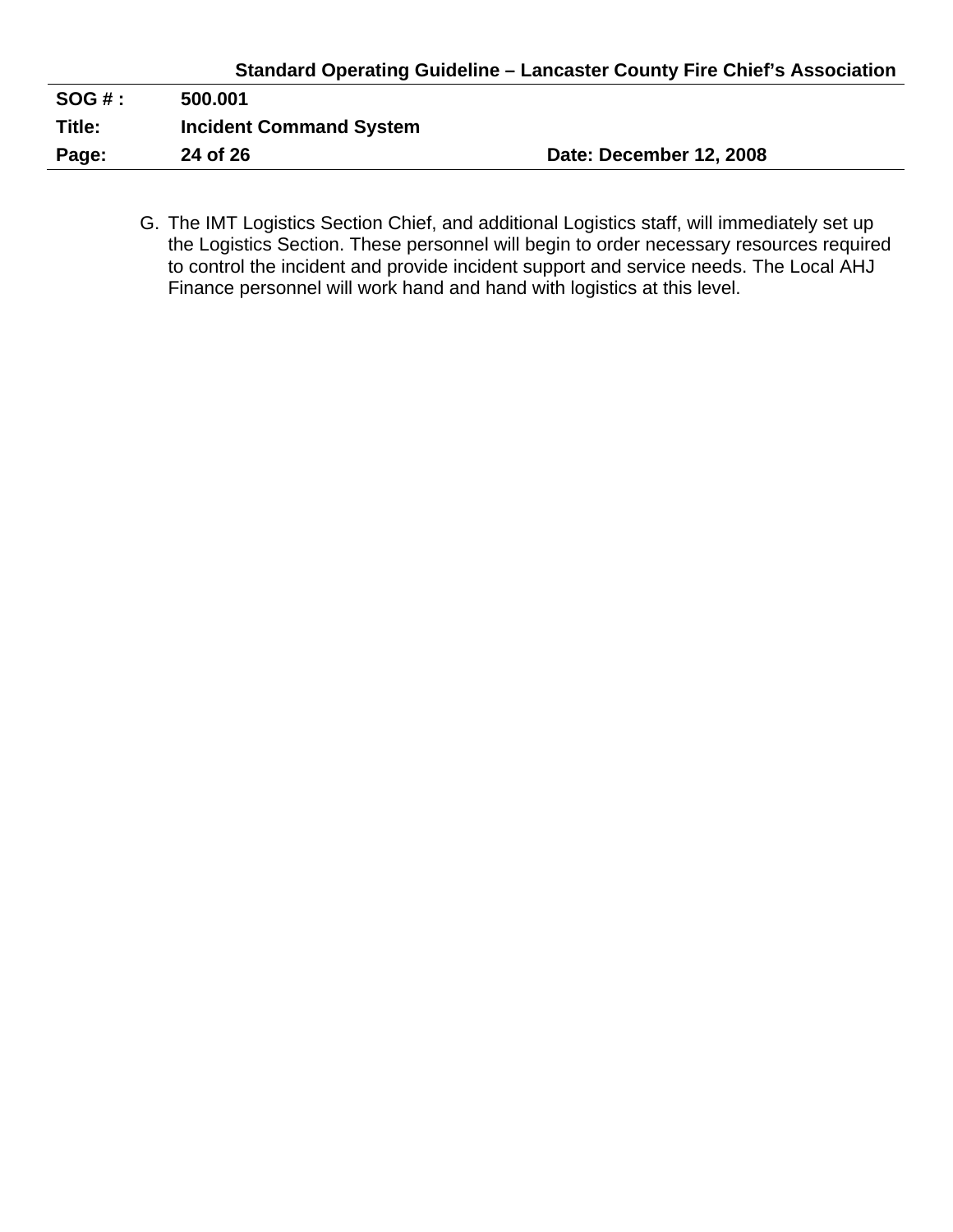| $SOG#$ : | 500.001                        |                         |
|----------|--------------------------------|-------------------------|
| Title:   | <b>Incident Command System</b> |                         |
| Page:    | 24 of 26                       | Date: December 12, 2008 |
|          |                                |                         |

G. The IMT Logistics Section Chief, and additional Logistics staff, will immediately set up the Logistics Section. These personnel will begin to order necessary resources required to control the incident and provide incident support and service needs. The Local AHJ Finance personnel will work hand and hand with logistics at this level.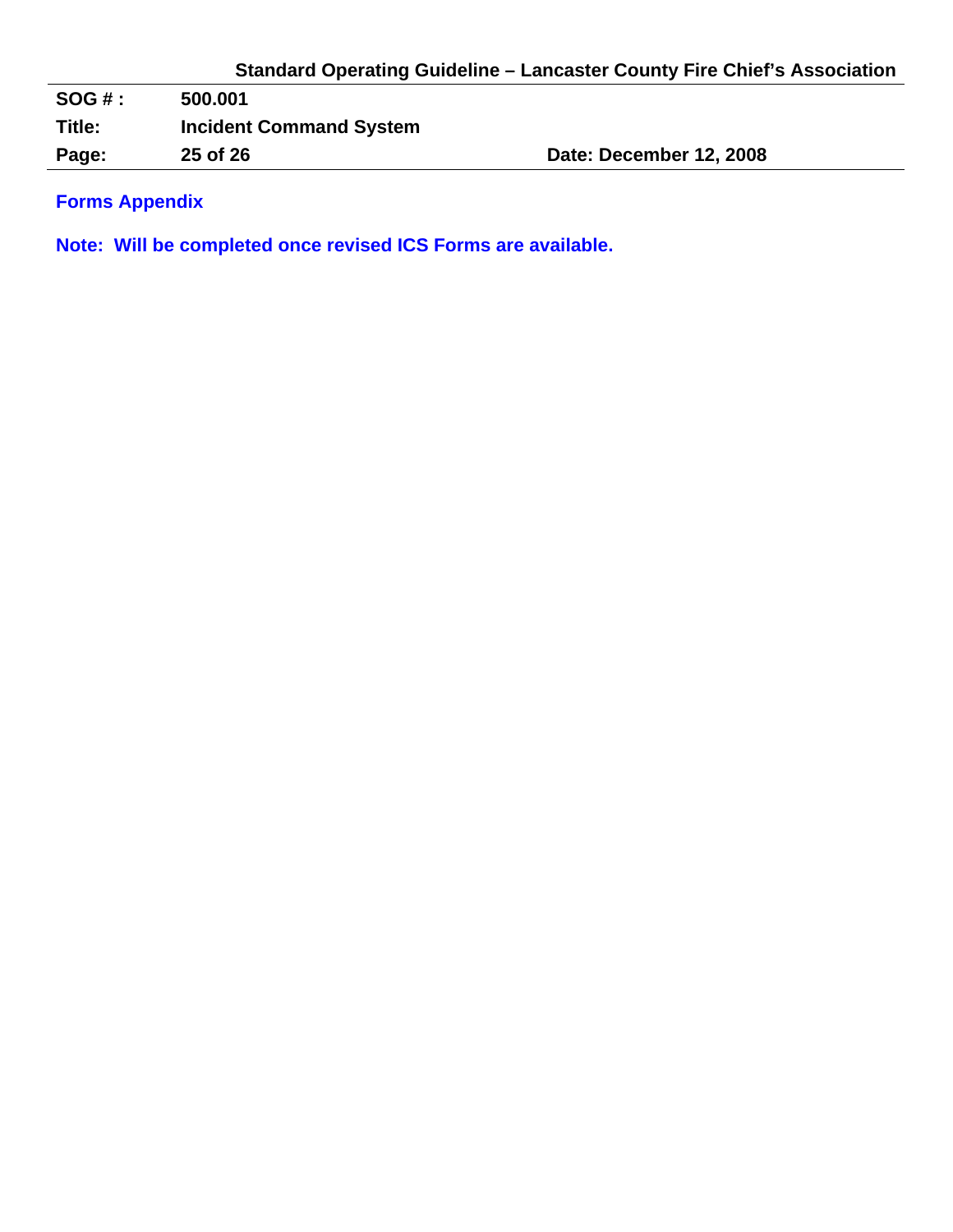**SOG # : 500.001 Title: Incident Command System**  Page: 25 of 26 **Date: December 12, 2008** 

**Forms Appendix** 

**Note: Will be completed once revised ICS Forms are available.**